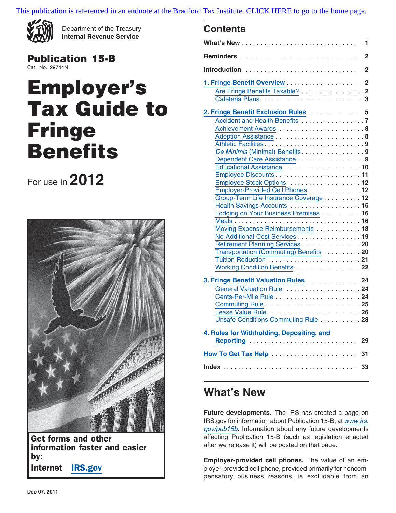[This publication is referenced in an endnote at the Bradford Tax Institute. CLICK HERE to go to the home page.](http://bradfordtaxinstitute.com/index1.aspx)



Department of the Treasury **Contents Internal Revenue Service**

### **Publication 15-B Reminders** ................................ **<sup>2</sup>**

# **Employer's Tax Guide to Fringe Benefits**

# For use in **2012**



information faster and easier

| ישב                     |                                                                                    |
|-------------------------|------------------------------------------------------------------------------------|
| <b>Publication 15-B</b> |                                                                                    |
| Cat. No. 29744N         |                                                                                    |
| <b>Employer's</b>       | 1. Fringe Benefit Overview 2<br>Are Fringe Benefits Taxable? 2<br>Cafeteria Plans3 |
| <b>Tax Guide to</b>     | 2. Fringe Benefit Exclusion Rules 5                                                |
|                         |                                                                                    |
| <b>Fringe</b>           |                                                                                    |
|                         | Athletic Facilities9                                                               |
| <b>Benefits</b>         | De Minimis (Minimal) Benefits9                                                     |
|                         | Dependent Care Assistance 9                                                        |
|                         | Educational Assistance  10                                                         |
| For use in $2012$       | Employee Discounts  11<br>Employee Stock Options  12                               |
|                         | Employer-Provided Cell Phones 12                                                   |
|                         | Group-Term Life Insurance Coverage 12                                              |
|                         | Health Savings Accounts  15                                                        |
|                         | Lodging on Your Business Premises  16                                              |
|                         | Moving Expense Reimbursements 18                                                   |
|                         | No-Additional-Cost Services 19                                                     |
|                         | Retirement Planning Services 20                                                    |
|                         | Transportation (Commuting) Benefits 20                                             |
|                         |                                                                                    |
|                         | Working Condition Benefits22                                                       |
|                         | 3. Fringe Benefit Valuation Rules  24                                              |
|                         | General Valuation Rule  24                                                         |
|                         | Cents-Per-Mile Rule 24                                                             |
|                         |                                                                                    |
|                         |                                                                                    |
|                         | Unsafe Conditions Commuting Rule 28                                                |
|                         | 4. Rules for Withholding, Depositing, and                                          |
|                         |                                                                                    |
|                         |                                                                                    |
|                         |                                                                                    |

## **What's New**

**Future developments.** The IRS has created a page on IRS.gov for information about Publication 15-B, at www.irs. gov/pub15b. Information about any future developments Get forms and other **and affecting Publication 15-B** (such as legislation enacted information faster and easier

**by:**<br> **Employer-provided cell phones.** The value of an em-<br> **Internet IRS.gov Employer-provided cell phone, provided primarily for noncom**ployer-provided cell phone, provided primarily for noncompensatory business reasons, is excludable from an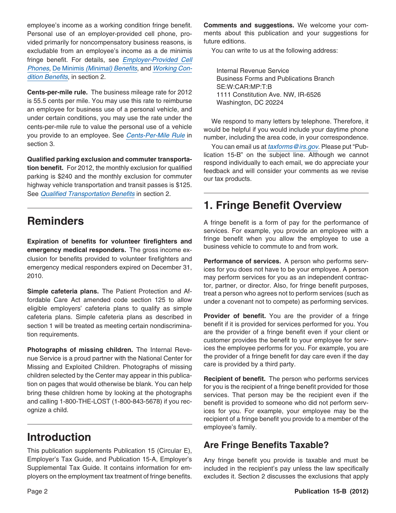Personal use of an employer-provided cell phone, pro- ments about this publication and your suggestions for vided primarily for noncompensatory business reasons, is future editions. excludable from an employee's income as a de minimis You can write to us at the following address: fringe benefit. For details, see Employer-Provided Cell Phones, De Minimis (Minimal) Benefits, and Working Con-<br>Internal Revenue Service dition Benefits, in section 2. Contract the Susiness Forms and Publications Branch

**Cents-per-mile rule.** The business mileage rate for 2012 1111 Constitution Ave. NW, IR-6526 is 55.5 cents per mile. You may use this rate to reimburse Washington, DC 20224 an employee for business use of a personal vehicle, and under certain conditions, you may use the rate under the<br>cents-per-mile rule to value the personal use of a vehicle<br>you provide to an employee. See *Cents-Per-Mile Rule* in<br>section 3.

**Qualified parking exclusion and commuter transporta-**<br> **Exercise 15-B** in the subject line. Although we cannot<br> **Exercise 15-B** in the subject line. Although we cannot<br> **Exercise 15-B** individually to each email, we do ap See Qualified Transportation Benefits in section 2.

clusion for benefits provided to volunteer firefighters and<br>erformance of services. A person who performs serv-<br>emergency medical responders expired on December 31,<br>ices for you does not have to be your employee. A person emergency medical responders expired on December 31, ices for you does not have to be your employee. A person

eligible employers' cafeteria plans to qualify as simple cafeteria plans. Simple cafeteria plans as described in **Provider of benefit.** You are the provider of a fringe section 1 will be treated as meeting certain nondiscrimina-<br>ion requirements of a fringe benefit even if your client or

nue Service is a proud partner with the National Center for the provider of a fringe benefit for a third party.<br>Missing and Exploited Children. Photographs of missing care is provided by a third party. children selected by the Center may appear in this publica-<br>tion on pages that would otherwise be blank. You can help<br>bring these children home by looking at the photographs<br>and calling 1-800-THE-LOST (1-800-843-5678) if y ognize a child.  $\blacksquare$ 

## **Introduction**

**Are Fringe Benefits Taxable?** This publication supplements Publication 15 (Circular E), Employer's Tax Guide, and Publication 15-A, Employer's Any fringe benefit you provide is taxable and must be Supplemental Tax Guide. It contains information for em- included in the recipient's pay unless the law specifically ployers on the employment tax treatment of fringe benefits. excludes it. Section 2 discusses the exclusions that apply

employee's income as a working condition fringe benefit. **Comments and suggestions.** We welcome your com-

SE:W:CAR:MP:T:B

You can email us at taxforms@irs.gov. Please put "Pub-

## **1. Fringe Benefit Overview**

**Reminders** A fringe benefit is a form of pay for the performance of services. For example, you provide an employee with a **Expiration of benefits for volunteer firefighters and** fringe benefit when you allow the employee to use a **emergency medical responders.** The gross income ex-<br>**Expiration of the sponders.** The gross income ex-<br>**Explires** 

may perform services for you as an independent contractor, partner, or director. Also, for fringe benefit purposes,<br>**Simple cafeteria plans.** The Patient Protection and Af-<br>fordable Care Act amended code section 125 to allow under a covenant not to compete) as performing serv under a covenant not to compete) as performing services.

tion requirements. The provider of a fringe benefit to your client or tion requirements.<br>customer provides the benefit to your employee for serv-**Photographs of missing children.** The Internal Reve-<br>nue Service is a proud partner with the National Center for the provider of a fringe benefit for day care even if the day

> benefit is provided to someone who did not perform servrecipient of a fringe benefit you provide to a member of the employee's family.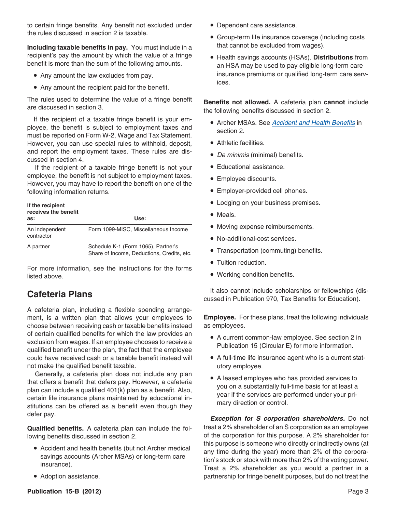to certain fringe benefits. Any benefit not excluded under • Dependent care assistance. the rules discussed in section 2 is taxable.

**Including taxable benefits in pay.** You must include in a **interprefient** that cannot be excluded from wages). recipient's pay the amount by which the value of a fringe

- Any amount the law excludes from pay.
- Any amount the recipient paid for the benefit.

The rules used to determine the value of a fringe benefit **Benefits not allowed.** A cafeteria plan **cannot** include are discussed in section 3.

If the recipient of a taxable fringe benefit is your em-<br>ployee, the benefit is subject to employment taxes and ployee, the benefit is subject to employment taxes and section 2.<br>must be reported on Form W-2, Wage and Tax Statement.<br>However, you can use special rules to withhold, deposit. <br>Athletic facilities. However, you can use special rules to withhold, deposit, and report the employment taxes. These rules are discussed in section 4.

If the recipient of a taxable fringe benefit is not your • Educational assistance. employee, the benefit is not subject to employment taxes. <br>• Employee discounts. However, you may have to report the benefit on one of the following information returns.

| receives the benefit<br>as: | Use:                                                                              | • Meals.                           |
|-----------------------------|-----------------------------------------------------------------------------------|------------------------------------|
| An independent              | Form 1099-MISC, Miscellaneous Income                                              | • Moving expense reimbursements.   |
| contractor                  |                                                                                   | • No-additional-cost services.     |
| A partner                   | Schedule K-1 (Form 1065), Partner's<br>Share of Income, Deductions, Credits, etc. | • Transportation (commuting) benet |

For more information, see the instructions for the forms • Working condition benefits. listed above.

A cafeteria plan, including a flexible spending arrangement, is a written plan that allows your employees to **Employee.** For these plans, treat the following individuals choose between receiving cash or taxable benefits instead as employees. of certain qualified benefits for which the law provides an • A current common-law employee. See section 2 in exclusion from wages. If an employee chooses to receive a<br>qualified benefit under the plan, the fact that the employee<br>Publication 15 (Circular E) for more information. could have received cash or a taxable benefit instead will • A full-time life insurance agent who is a current statnot make the qualified benefit taxable. Unless the utory employee.

Generally, a cafeteria plan does not include any plan<br> **•** A leased employee who has provided services to<br>
that offers a benefit that defers pay. However, a cafeteria plan can include a qualified 401(k) plan as a benefit. Also,<br>certain life insurance plans maintained by educational in-<br>stitutions can be offered as a benefit even though they<br>titutions can be offered as a benefit even tho defer pay. *Exception for S corporation shareholders.* Do not

lowing benefits discussed in section 2. The corporation for this purpose. A 2% shareholder for

- 
- Adoption assistance.
- 
- Group-term life insurance coverage (including costs
- Health savings accounts (HSAs). **Distributions** from benefit is more than the sum of the following amounts. an HSA may be used to pay eligible long-term care insurance premiums or qualified long-term care services.

the following benefits discussed in section 2.

- **Archer MSAs. See Accident and Health Benefits in**
- 
- De minimis (minimal) benefits.
- 
- 
- Employer-provided cell phones.
- Lodging on your business premises. **If the recipient**
	- Meals.
	-
	- No-additional-cost services.
	- Transportation (commuting) benefits.
	- Tuition reduction.
	-

It also cannot include scholarships or fellowships (dis- **Cafeteria Plans** cussed in Publication 970, Tax Benefits for Education).

- 
- 
- 

**Qualified benefits.** A cafeteria plan can include the fol-<br>treat a 2% shareholder of an S corporation as an employee • Accident and health benefits (but not Archer medical this purpose is someone who directly or indirectly owns (at any time during the year) more than 2% of the corporasavings accounts (Archer MSAs) or long-term care<br>insurance).<br>Treat a 2% shareholder as you would a partner in a partnership for fringe benefit purposes, but do not treat the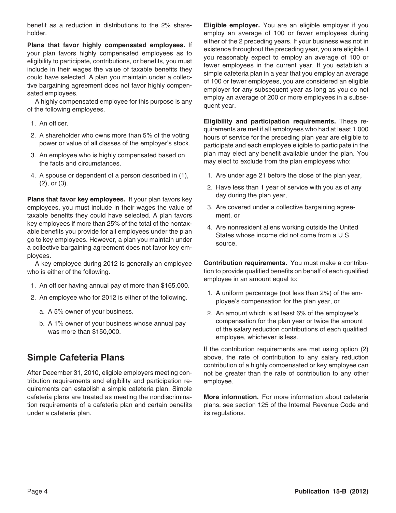- 
- 
- 
- 4. A spouse or dependent of a person described in (1),  $\qquad 1.$  Are under age 21 before the close of the plan year, (2), or (3). 2. Have less than 1 year of service with you as of any

Plans that favor key employees. If your plan favors key day during the plan year, employees, you must include in their wages the value of 3. Are covered under a collective bargaining agreetaxable benefits they could have selected. A plan favors ment, or key employees if more than 25% of the total of the nontax-<br>able benefits you provide for all employees under the plan<br>go to key employees. However, a plan you maintain under<br>a collective bargaining agreement does not favor ployees.

- 1. An officer having annual pay of more than \$165,000.
- -
	-

After December 31, 2010, eligible employers meeting con- not be greater than the rate of contribution to any other tribution requirements and eligibility and participation re- employee. quirements can establish a simple cafeteria plan. Simple cafeteria plans are treated as meeting the nondiscrimina- **More information.** For more information about cafeteria tion requirements of a cafeteria plan and certain benefits plans, see section 125 of the Internal Revenue Code and under a cafeteria plan.  $\blacksquare$ 

benefit as a reduction in distributions to the 2% share- **Eligible employer.** You are an eligible employer if you holder. **Example 20** an average of 100 or fewer employees during **Plans that favor highly compensated employees.** If<br>your plan favors highly compensated employees as to<br>eligibility to participate, contributions, or benefits, you must<br>include in their wages the value of taxable benefits

**Eligibility and participation requirements.** These re- 1. An officer. quirements are met if all employees who had at least 1,000 2. A shareholder who owns more than 5% of the voting<br>power or value of all classes of the employer's stock.<br>participate and each employee eligible to participate in the plan may elect any benefit available under the plan. You 3. An employee who is highly compensated based on may elect to exclude from the plan employees who: the facts and circumstances.

- 
- 
- 
- 

A key employee during 2012 is generally an employee **Contribution requirements.** You must make a contribuwho is either of the following. The state of the following. The state of the following is either of the following. employee in an amount equal to:

- 1. A uniform percentage (not less than 2%) of the em- 2. An employee who for 2012 is either of the following. ployee's compensation for the plan year, or
	- a. A 5% owner of your business. 2. An amount which is at least 6% of the employee's b. A 1% owner of your business whose annual pay compensation for the plan year or twice the amount was more than \$150,000. employee, whichever is less.

If the contribution requirements are met using option (2) **Simple Cafeteria Plans above, the rate of contribution to any salary reduction** contribution of a highly compensated or key employee can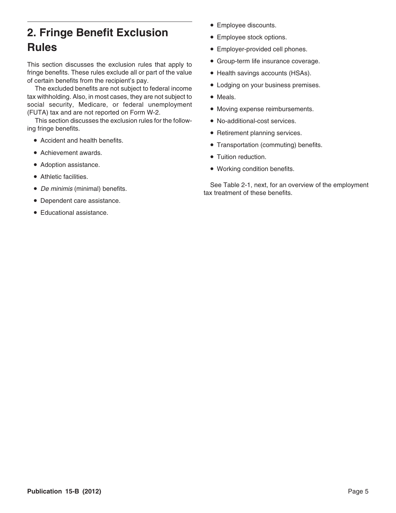# **2. Fringe Benefit Exclusion Rules** •

This section discusses the exclusion rules that apply to fringe benefits. These rules exclude all or part of the value • Health savings accounts (HSAs). of certain benefits from the recipient's pay.<br>The excluded benefits are not subject to foderal income. • Lodging on your business premises.

The excluded benefits are not subject to federal income tax withholding. Also, in most cases, they are not subject to **•** Meals. social security, Medicare, or federal unemployment<br>
Fill a Moving expense reimbursements. (FUTA) tax and are not reported on Form W-2.

This section discusses the exclusion rules for the follow- •ing fringe benefits.

- Accident and health benefits.
- Achievement awards.
- Adoption assistance. •
- Athletic facilities.
- $\bullet$  *De minimis* (minimal) benefits.
- Dependent care assistance.
- Educational assistance.
- Employee discounts.
- Employee stock options.
- Employer-provided cell phones.
- Group-term life insurance coverage.
- 
- 
- 
- 
- No-additional-cost services.
- Retirement planning services.
- Transportation (commuting) benefits.
- Tuition reduction.
- Working condition benefits.

See Table 2-1, next, for an overview of the employment tax treatment of these benefits.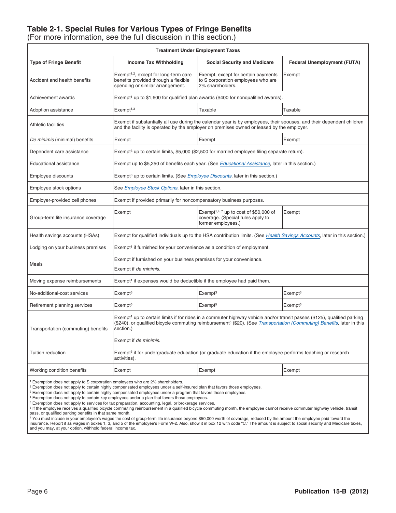### **Table 2-1. Special Rules for Various Types of Fringe Benefits**

(For more information, see the full discussion in this section.)

| <b>Treatment Under Employment Taxes</b>                                                                                                                                                                                                                                                                                                                                                                                                                                                                                                                                                                                                                                                                                                                                                                                                                                                                                                                                                                                                                                                                                                                                                                                                                     |                                                                                                                                         |                                                                                                                                                                                                                                                                            |                     |  |  |
|-------------------------------------------------------------------------------------------------------------------------------------------------------------------------------------------------------------------------------------------------------------------------------------------------------------------------------------------------------------------------------------------------------------------------------------------------------------------------------------------------------------------------------------------------------------------------------------------------------------------------------------------------------------------------------------------------------------------------------------------------------------------------------------------------------------------------------------------------------------------------------------------------------------------------------------------------------------------------------------------------------------------------------------------------------------------------------------------------------------------------------------------------------------------------------------------------------------------------------------------------------------|-----------------------------------------------------------------------------------------------------------------------------------------|----------------------------------------------------------------------------------------------------------------------------------------------------------------------------------------------------------------------------------------------------------------------------|---------------------|--|--|
| <b>Type of Fringe Benefit</b>                                                                                                                                                                                                                                                                                                                                                                                                                                                                                                                                                                                                                                                                                                                                                                                                                                                                                                                                                                                                                                                                                                                                                                                                                               | <b>Income Tax Withholding</b><br><b>Social Security and Medicare</b><br><b>Federal Unemployment (FUTA)</b>                              |                                                                                                                                                                                                                                                                            |                     |  |  |
| Accident and health benefits                                                                                                                                                                                                                                                                                                                                                                                                                                                                                                                                                                                                                                                                                                                                                                                                                                                                                                                                                                                                                                                                                                                                                                                                                                | Exempt <sup>1,2</sup> , except for long-term care<br>benefits provided through a flexible<br>spending or similar arrangement.           | Exempt, except for certain payments<br>to S corporation employees who are<br>2% shareholders.                                                                                                                                                                              | Exempt              |  |  |
| Achievement awards                                                                                                                                                                                                                                                                                                                                                                                                                                                                                                                                                                                                                                                                                                                                                                                                                                                                                                                                                                                                                                                                                                                                                                                                                                          |                                                                                                                                         | Exempt <sup>1</sup> up to \$1,600 for qualified plan awards (\$400 for nonqualified awards).                                                                                                                                                                               |                     |  |  |
| Adoption assistance                                                                                                                                                                                                                                                                                                                                                                                                                                                                                                                                                                                                                                                                                                                                                                                                                                                                                                                                                                                                                                                                                                                                                                                                                                         | Exempty <sup>1,3</sup>                                                                                                                  | Taxable                                                                                                                                                                                                                                                                    | Taxable             |  |  |
| Athletic facilities                                                                                                                                                                                                                                                                                                                                                                                                                                                                                                                                                                                                                                                                                                                                                                                                                                                                                                                                                                                                                                                                                                                                                                                                                                         |                                                                                                                                         | Exempt if substantially all use during the calendar year is by employees, their spouses, and their dependent children<br>and the facility is operated by the employer on premises owned or leased by the employer.                                                         |                     |  |  |
| De minimis (minimal) benefits                                                                                                                                                                                                                                                                                                                                                                                                                                                                                                                                                                                                                                                                                                                                                                                                                                                                                                                                                                                                                                                                                                                                                                                                                               | Exempt                                                                                                                                  | Exempt                                                                                                                                                                                                                                                                     | Exempt              |  |  |
| Dependent care assistance                                                                                                                                                                                                                                                                                                                                                                                                                                                                                                                                                                                                                                                                                                                                                                                                                                                                                                                                                                                                                                                                                                                                                                                                                                   |                                                                                                                                         | Exempt <sup>3</sup> up to certain limits, \$5,000 (\$2,500 for married employee filing separate return).                                                                                                                                                                   |                     |  |  |
| Educational assistance                                                                                                                                                                                                                                                                                                                                                                                                                                                                                                                                                                                                                                                                                                                                                                                                                                                                                                                                                                                                                                                                                                                                                                                                                                      |                                                                                                                                         | Exempt up to \$5,250 of benefits each year. (See Educational Assistance, later in this section.)                                                                                                                                                                           |                     |  |  |
| Employee discounts                                                                                                                                                                                                                                                                                                                                                                                                                                                                                                                                                                                                                                                                                                                                                                                                                                                                                                                                                                                                                                                                                                                                                                                                                                          | Exempt <sup>3</sup> up to certain limits. (See <i>Employee Discounts</i> , later in this section.)                                      |                                                                                                                                                                                                                                                                            |                     |  |  |
| Employee stock options                                                                                                                                                                                                                                                                                                                                                                                                                                                                                                                                                                                                                                                                                                                                                                                                                                                                                                                                                                                                                                                                                                                                                                                                                                      | See Employee Stock Options, later in this section.                                                                                      |                                                                                                                                                                                                                                                                            |                     |  |  |
| Employer-provided cell phones                                                                                                                                                                                                                                                                                                                                                                                                                                                                                                                                                                                                                                                                                                                                                                                                                                                                                                                                                                                                                                                                                                                                                                                                                               | Exempt if provided primarily for noncompensatory business purposes.                                                                     |                                                                                                                                                                                                                                                                            |                     |  |  |
| Group-term life insurance coverage                                                                                                                                                                                                                                                                                                                                                                                                                                                                                                                                                                                                                                                                                                                                                                                                                                                                                                                                                                                                                                                                                                                                                                                                                          | Exempt                                                                                                                                  | Exempt <sup>1,4,7</sup> up to cost of \$50,000 of<br>Exempt<br>coverage. (Special rules apply to<br>former employees.)                                                                                                                                                     |                     |  |  |
| Health savings accounts (HSAs)                                                                                                                                                                                                                                                                                                                                                                                                                                                                                                                                                                                                                                                                                                                                                                                                                                                                                                                                                                                                                                                                                                                                                                                                                              | Exempt for qualified individuals up to the HSA contribution limits. (See Health Savings Accounts, later in this section.)               |                                                                                                                                                                                                                                                                            |                     |  |  |
| Lodging on your business premises                                                                                                                                                                                                                                                                                                                                                                                                                                                                                                                                                                                                                                                                                                                                                                                                                                                                                                                                                                                                                                                                                                                                                                                                                           | Exempt <sup>1</sup> if furnished for your convenience as a condition of employment.                                                     |                                                                                                                                                                                                                                                                            |                     |  |  |
| Exempt if furnished on your business premises for your convenience.<br>Meals                                                                                                                                                                                                                                                                                                                                                                                                                                                                                                                                                                                                                                                                                                                                                                                                                                                                                                                                                                                                                                                                                                                                                                                |                                                                                                                                         |                                                                                                                                                                                                                                                                            |                     |  |  |
|                                                                                                                                                                                                                                                                                                                                                                                                                                                                                                                                                                                                                                                                                                                                                                                                                                                                                                                                                                                                                                                                                                                                                                                                                                                             | Exempt if de minimis.                                                                                                                   |                                                                                                                                                                                                                                                                            |                     |  |  |
| Moving expense reimbursements                                                                                                                                                                                                                                                                                                                                                                                                                                                                                                                                                                                                                                                                                                                                                                                                                                                                                                                                                                                                                                                                                                                                                                                                                               | Exempt <sup>1</sup> if expenses would be deductible if the employee had paid them.                                                      |                                                                                                                                                                                                                                                                            |                     |  |  |
| No-additional-cost services                                                                                                                                                                                                                                                                                                                                                                                                                                                                                                                                                                                                                                                                                                                                                                                                                                                                                                                                                                                                                                                                                                                                                                                                                                 | Exempt <sup>3</sup>                                                                                                                     | Exempt <sup>3</sup>                                                                                                                                                                                                                                                        | Exempt <sup>3</sup> |  |  |
| Retirement planning services                                                                                                                                                                                                                                                                                                                                                                                                                                                                                                                                                                                                                                                                                                                                                                                                                                                                                                                                                                                                                                                                                                                                                                                                                                | Exempt <sup>5</sup>                                                                                                                     | Exempt <sup>5</sup>                                                                                                                                                                                                                                                        | Exempt <sup>5</sup> |  |  |
| Transportation (commuting) benefits                                                                                                                                                                                                                                                                                                                                                                                                                                                                                                                                                                                                                                                                                                                                                                                                                                                                                                                                                                                                                                                                                                                                                                                                                         | section.)                                                                                                                               | Exempt <sup>1</sup> up to certain limits if for rides in a commuter highway vehicle and/or transit passes (\$125), qualified parking<br>(\$240), or qualified bicycle commuting reimbursement <sup>6</sup> (\$20). (See Transportation (Commuting) Benefits, later in this |                     |  |  |
|                                                                                                                                                                                                                                                                                                                                                                                                                                                                                                                                                                                                                                                                                                                                                                                                                                                                                                                                                                                                                                                                                                                                                                                                                                                             | Exempt if de minimis.                                                                                                                   |                                                                                                                                                                                                                                                                            |                     |  |  |
| Tuition reduction                                                                                                                                                                                                                                                                                                                                                                                                                                                                                                                                                                                                                                                                                                                                                                                                                                                                                                                                                                                                                                                                                                                                                                                                                                           | Exempt <sup>3</sup> if for undergraduate education (or graduate education if the employee performs teaching or research<br>activities). |                                                                                                                                                                                                                                                                            |                     |  |  |
| Working condition benefits                                                                                                                                                                                                                                                                                                                                                                                                                                                                                                                                                                                                                                                                                                                                                                                                                                                                                                                                                                                                                                                                                                                                                                                                                                  | Exempt                                                                                                                                  | Exempt                                                                                                                                                                                                                                                                     | Exempt              |  |  |
| Exemption does not apply to S corporation employees who are 2% shareholders.<br><sup>2</sup> Exemption does not apply to certain highly compensated employees under a self-insured plan that favors those employees.<br><sup>3</sup> Exemption does not apply to certain highly compensated employees under a program that favors those employees.<br>4 Exemption does not apply to certain key employees under a plan that favors those employees.<br><sup>5</sup> Exemption does not apply to services for tax preparation, accounting, legal, or brokerage services.<br><sup>6</sup> If the employee receives a qualified bicycle commuting reimbursement in a qualified bicycle commuting month, the employee cannot receive commuter highway vehicle, transit<br>pass, or qualified parking benefits in that same month.<br>7 You must include in your employee's wages the cost of group-term life insurance beyond \$50,000 worth of coverage, reduced by the amount the employee paid toward the<br>insurance. Report it as wages in boxes 1, 3, and 5 of the employee's Form W-2. Also, show it in box 12 with code "C." The amount is subject to social security and Medicare taxes,<br>and you may, at your option, withhold federal income tax. |                                                                                                                                         |                                                                                                                                                                                                                                                                            |                     |  |  |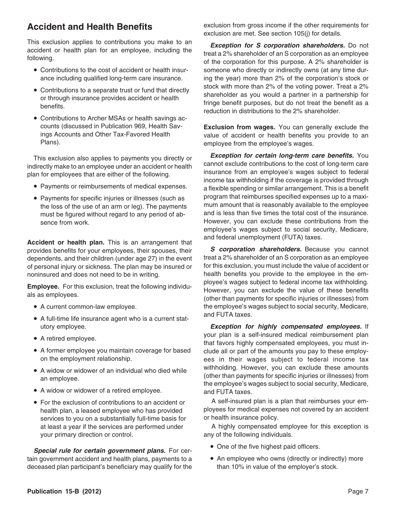This exclusion applies to contributions you make to an **Exception for S corporation shareholders.** Do not accident or health plan for an employee, including the following.<br>following.

- Contributions to the cost of accident or health insur-
- 
- Contributions to Archer MSAs or health savings ac-

- Payments or reimbursements of medical expenses.
- must be figured without regard to any period of ab-

and federal unemployment (FUTA) taxes.<br>**Accident or health plan.** This is an arrangement that<br>**S corporation shareholders.** Because you cannot provides benefits for your employees, their spouses, their **S corporation shareholders.** Because you cannot dependents.<br>dependents, and their children (under age 27) in the event treat a 2% shareholder of an S corporation dependents, and their children (under age 27) in the event of personal injury or sickness. The plan may be insured or for this exclusion, you must include the value of accident or noninsured and does not need to be in writing. Thealth benefits you provide to the employee in the em-

- A current common-law employee.
- A full-time life insurance agent who is a current stat-
- 
- A former employee you maintain coverage for based
- A widow or widower of an individual who died while
- A widow or widower of a retired employee. The and FUTA taxes.
- services to you on a substantially full-time basis for your primary direction or control. The same state of the following individuals.

Special rule for certain government plans. For certain government accident and health plans, payments to a • An employee who owns (directly or indirectly) more deceased plan participant's beneficiary may qualify for the than 10% in value of the employer's stock.

**Accident and Health Benefits** exclusion from gross income if the other requirements for exclusion are met. See section 105(j) for details.

someone who directly or indirectly owns (at any time durance including qualified long-term care insurance. ing the year) more than 2% of the corporation's stock or • Contributions to a separate trust or fund that directly stock with more than 2% of the voting power. Treat a 2% •<br>Shareholder as you would a partner in a partnership for or through insurance provides accident or health<br>benefits. fringe benefit purposes, but do not treat the benefit as a reduction in distributions to the 2% shareholder.

counts (discussed in Publication 969, Health Sav- **Exclusion from wages.** You can generally exclude the ings Accounts and Other Tax-Favored Health value of accident or health benefits you provide to an<br>Plans). employee from the employee's wages.

This exclusion also applies to payments you directly or<br>indirectly make to an employee under an accident or health<br>plan for employees that are either of the following.<br>insurance from an employee's wages subject to federal<br> a flexible spending or similar arrangement. This is a benefit • Payments for specific injuries or illnesses (such as end program that reimburses specified expenses up to a maxithe loss of the use of an arm or leg). The payments mum amount that is reasonably available to the employee<br>must be figured without regard to any period of ab-<br>and is less than five times the total cost of the insurance. sence from work. **However, you can exclude these contributions from the** employee's wages subject to social security, Medicare,

**Employee.** For this exclusion, treat the following individu-<br>als as employees.<br>(other than payments for specific injuries or illnesses) from the employee's wages subject to social security, Medicare, and FUTA taxes.

utory employee. *Exception for highly compensated employees.* If • A retired employee. <br>
• A retired employee.<br>
• A retired employee. that favors highly compensated employees, you must include all or part of the amounts you pay to these employon the employment relationship. ees in their wages subject to federal income tax withholding. However, you can exclude these amounts (other than payments for specific injuries or illnesses) from an employee.<br>the employee's wages subject to social security, Medicare,

 $\bullet$  For the exclusion of contributions to an accident or  $\phantom{a}$  A self-insured plan is a plan that reimburses your emhealth plan, a leased employee who has provided ployees for medical expenses not covered by an accident<br>services to you on a substantially full-time basis for or health insurance policy.

at least a year if the services are performed under A highly compensated employee for this exception is

- One of the five highest paid officers.
-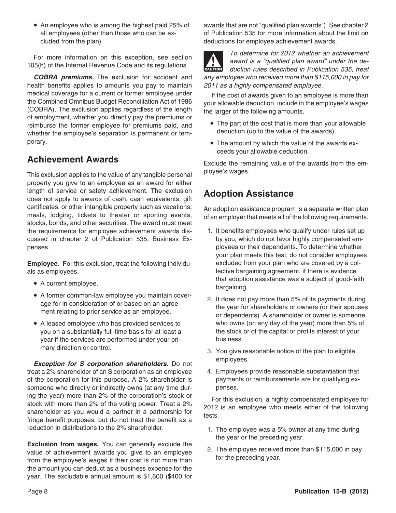• An employee who is among the highest paid 25% of cluded from the plan). deductions for employee achievement awards.

*COBRA premiums.* The exclusion for accident and any employee who received more than \$115,000 in pay for health benefits applies to amounts you pay to maintain 2011 as a highly compensated employee. medical coverage for a current or former employee under<br>the Combined Omnibus Budget Reconciliation Act of 1986<br>(COBRA). The exclusion applies regardless of the length<br>of employment, whether you directly pay the premiums or The part of the cost that is more than your reimburse the former employee for premiums paid, and<br>whether the employee's separation is permanent or tem-<br>deduction (up to the value of the awards). whether the employee's separation is permanent or temporary.  $\bullet$ 

ployee's wages. This exclusion applies to the value of any tangible personal property you give to an employee as an award for either length of service or safety achievement. The exclusion **Adoption Assistance** does not apply to awards of cash, cash equivalents, gift certificates, or other intangible property such as vacations,<br>meals, lodging, tickets to theater or sporting events,<br>stocks, bonds, and other securities. The award must meet the requirements for employee achievement awards dis-<br>1. It benefits employees who qualify under rules set up cussed in chapter 2 of Publication 535, Business Ex- by you, which do not favor highly compensated empenses. ployees or their dependents. To determine whether

**Employee.** For this exclusion, treat the following individu-<br>
excluded from your plan who are covered by a colals as employees. lective bargaining agreement, if there is evidence

- $\bullet$  A current employee.
- A former common-law employee you maintain cover-
- year if the services are performed under your pri- business.

employees. *Exception for S corporation shareholders.* Do not treat a 2% shareholder of an S corporation as an employee 4. Employees provide reasonable substantiation that of the corporation for this purpose. A 2% shareholder is payments or reimbursements are for qualifying exsomeone who directly or indirectly owns (at any time dur- penses. ing the year) more than 2% of the corporation's stock or<br>stock with more than 2% of the voting power. Treat a 2%<br>shareholder as you would a partner in a partnership for<br>fringe benefit purposes, but do not treat the benefit reduction in distributions to the 2% shareholder. 1. The employee was a 5% owner at any time during

**Exclusion from wages.** You can generally exclude the<br>value of achievement awards you give to an employee 2. The employee received more than \$115,000 in pay<br>from the employee's wages if their cost is not more than for the the amount you can deduct as a business expense for the year. The excludable annual amount is \$1,600 (\$400 for

awards that are not "qualified plan awards"). See chapter 2 all employees (other than those who can be ex- of Publication 535 for more information about the limit on



For more information on this exception, see section<br>105(h) of the Internal Revenue Code and its regulations.<br>duction rules described in Publication 535, treat

- The part of the cost that is more than your allowable
- The amount by which the value of the awards exceeds your allowable deduction.

**Achievement Awards** Exclude the remaining value of the awards from the em-

- your plan meets this test, do not consider employees that adoption assistance was a subject of good-faith bargaining.
- A former common-law employee you maintain cover-<br>age for in consideration of or based on an agree-<br>ment relating to prior service as an employee.<br>or dependents). A shareholder or owner is someone<br>or dependents). A sharehol • A leased employee who has provided services to who owns (on any day of the year) more than 5% of you on a substantially full-time basis for at least a the stock or of the capital or profits interest of your
	- mary direction or control. The same of the plan of control. 3. You give reasonable notice of the plan to eligible
		-

- the year or the preceding year.
-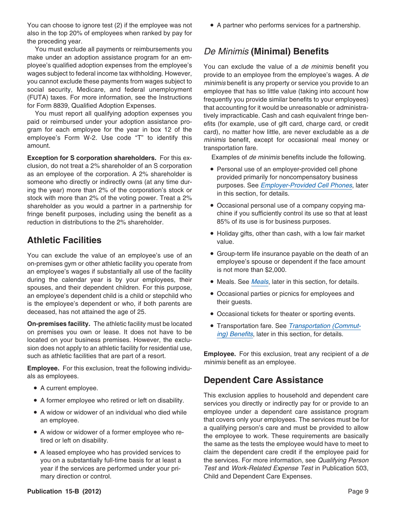You can choose to ignore test (2) if the employee was not • A partner who performs services for a partnership. also in the top 20% of employees when ranked by pay for the preceding year.

You must exclude all payments or reimbursements you De Minimis (Minimal) Benefits make under an adoption assistance program for an employee's qualified adoption expenses from the employee's You can exclude the value of a *de minimis* benefit you<br>wages subject to federal income tax withholding. However, provide to an employee from the employee's wages A wages subject to federal income tax withholding. However, provide to an employee from the employee's wages. A de<br>you cannot exclude these payments from wages subject to minimis benefit is any property or service you provid you cannot exclude these payments from wages subject to minimis benefit is any property or service you provide to an<br>social security, Medicare, and federal unemployment employee that has so little value (taking into accoun social security, Medicare, and federal unemployment employee that has so little value (taking into account how<br>(FUTA) taxes. For more information, see the Instructions frequently vou provide similar benefits to vour employ (FUTA) taxes. For more information, see the Instructions frequently you provide similar benefits to your employees)<br>for Form 8839, Qualified Adoption Expenses.

**Exception for S corporation shareholders.** For this ex-<br>
Examples of de minimis benefits include the following. clusion, do not treat a 2% shareholder of an S corporation • Personal use of an employer-provided cell phone Exercision, to not treat a 2% shareholder of an 5 corporation<br>as an employee of the corporation. A 2% shareholder is<br>someone who directly or indirectly owns (at any time dur-<br>ing the year) more than 2% of the corporation's shareholder as you would a partner in a partnership for • Occasional personal use of a company copying mafringe benefit purposes, including using the benefit as a chine if you sufficiently control its use so that at least reduction in distributions to the 2% shareholder. 85% of its use is for business purposes.

### **Athletic Facilities** value.

on-premises gym or other athletic facility you operate from employee's spouse or de<br>an employee's wages if substantially all use of the facility is not more than \$2,000. an employee's wages if substantially all use of the facility during the calendar year is by your employees, their spouses, and their dependent children. For this purpose, an employee's dependent child is a child or stepchild who  $\bullet$  Occasional position or who if hoth parents are their guests. is the employee's dependent or who, if both parents are deceased, has not attained the age of 25.

**On-premises facility.** The athletic facility must be located •on premises you own or lease. It does not have to be  $ing)$  Benefits, later in this section, for details. located on your business premises. However, the exclusion does not apply to an athletic facility for residential use,<br>**Employee.** For this exclusion, treat any recipient of a de<br>minimis benefit as an employee.

**Employee.** For this exclusion, treat the following individuals as employees. **Dependent Care Assistance**

- A current employee.
- 
- 
- 
- A leased employee who has provided services to mary direction or control. Child and Dependent Care Expenses.

For Form 8839, Qualitied Adoption Expenses.<br>
You must report all qualifying adoption expenses you<br>
paid or reimbursed under your adoption assistance pro-<br>
gram for each employee for the year in box 12 of the<br>
employee's Fo employee's Form W-2. Use code "I" to identify this minimis benefit, except for occasional meal money or amount.

- 
- 
- Holiday gifts, other than cash, with a low fair market
- You can exclude the value of an employee's use of an  $\bullet$  Group-term life insurance payable on the death of an on-premises gym or other athletic facility you operate from employee's spouse or dependent if the face amount
	- Meals. See *Meals*, later in this section, for details.
	- Occasional parties or picnics for employees and
	- Occasional tickets for theater or sporting events.
	- Transportation fare. See Transportation (Commut-

This exclusion applies to household and dependent care<br>A former employee who retired or left on disability. services you directly or indirectly pay for or provide to an • A widow or widower of an individual who died while employee under a dependent care assistance program an employee. that covers only your employees. The services must be for • A widow or widower of a former employee who re-<br>• A widow or widower of a former employee who re-A widow or widower or a former employee who re-<br>the employee to work. These requirements are basically<br>the same as the tests the employee would have to meet to claim the dependent care credit if the employee paid for you on a substantially full-time basis for at least a the services. For more information, see Qualifying Person year if the services are performed under your pri-<br>
Test and Work-Related Expense Test in Publication 503,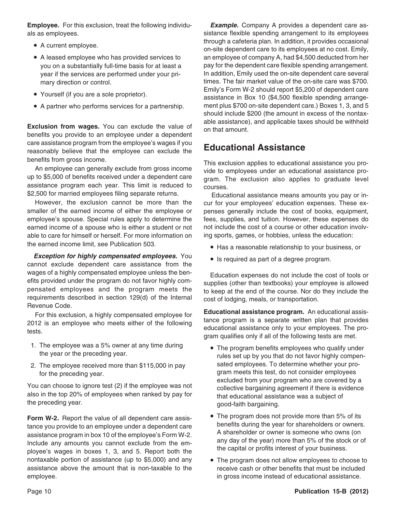**Employee.** For this exclusion, treat the following individu-<br>**Example.** Company A provides a dependent care asals as employees. sistance flexible spending arrangement to its employees

- 
- A leased employee who has provided services to
- 
- 

benefits you provide to an employee under a dependent care assistance program from the employee's wages if you **Educational Assistance** reasonably believe that the employee can exclude the

assistance program each year. This limit is reduced to  $\overline{\text{c}$  courses. \$2,500 for married employees filing separate returns. Educational assistance means amounts you pay or in-

smaller of the earned income of either the employee or penses generally include the cost of books, equipment, employee's spouse. Special rules apply to determine the fees, supplies, and tuition. However, these expenses do earned income of a spouse who is either a student or not not include the cost of a course or other education involvable to care for himself or herself. For more information on ing sports, games, or hobbies, unless the education: the earned income limit, see Publication 503. •

**Exception for highly compensated employees.** You **•** Is required as part of a degree program. cannot exclude dependent care assistance from the wages of a highly compensated employee unless the ben-<br>effits provided under the program do not favor highly com-<br>pensated employees and the program meets the<br>to keep at the end of the course. Nor do they include the requirements described in section 129(d) of the Internal cost of lodging, meals, or transportation. Revenue Code.

- 1. The employee was a 5% owner at any time during The program benefits employees who qualify under
- 

You can choose to ignore test (2) if the employee was not<br>also in the top 20% of employees when ranked by pay for<br>the preceding year.<br> $\frac{1}{2}$  cood-faith bargaining<br> $\frac{1}{2}$  cood-faith bargaining

**Form W-2.** Report the value of all dependent care assis-<br>tance you provide to an employee under a dependent care<br>assistance program in box 10 of the employee's Form W-2.<br>Include any amounts you cannot exclude from the emnontaxable portion of assistance (up to \$5,000) and any • The program does not allow employees to choose to assistance above the amount that is non-taxable to the receive cash or other benefits that must be included employee. **in gross income instead of educational assistance**.

● A current employee. <br>● A current employee. <br>
■ Provides occasional • Provides occasional • Providence of the contract of the contract of the contract of the contract of the contract of the contract of the contract of th on-site dependent care to its employees at no cost. Emily, an employee of company A, had \$4,500 deducted from her you on a substantially full-time basis for at least a pay for the dependent care flexible spending arrangement. year if the services are performed under your pri-<br>In addition, Emily used the on-site dependent care several mary direction or control. The fair market value of the on-site care was \$700. ■ Emily's Form W-2 should report \$5,200 of dependent care<br>• Yourself (if you are a sole proprietor). <br>• assistance in Box 10.(\$4,500 floxible coording arrange assistance in Box 10 (\$4,500 flexible spending arrange-• A partner who performs services for a partnership. ment plus \$700 on-site dependent care.) Boxes 1, 3, and 5 should include \$200 (the amount in excess of the nontaxable assistance), and applicable taxes should be withheld **Exclusion from wages.** You can exclude the value of on that amount.

benefits from gross income.<br>An employee can generally exclude from gross income<br>up to \$5,000 of benefits received under a dependent care<br>up to \$5,000 of benefits received under a dependent care<br>gram. The exclusion also app

However, the exclusion cannot be more than the cur for your employees' education expenses. These ex-

- Has a reasonable relationship to your business, or
- 

For this exclusion, a highly compensated employee for<br>2012 is an employee who meets either of the following<br>tests.<br>The program is a separate written plan that provides<br>tests.

- The year or the preceding year.<br>The year or the preceding year. The program benefits who was the year. The program benefits who was the year. The year. The year. The year. The year. The year. The year. The year of the year 2. The employee received more than \$115,000 in pay sated employees. To determine whether your profor the preceding year. The preceding year and the preceding year.<br>  $\blacksquare$  excluded from your program who are covered by a good-faith bargaining.
	- The program does not provide more than 5% of its
	-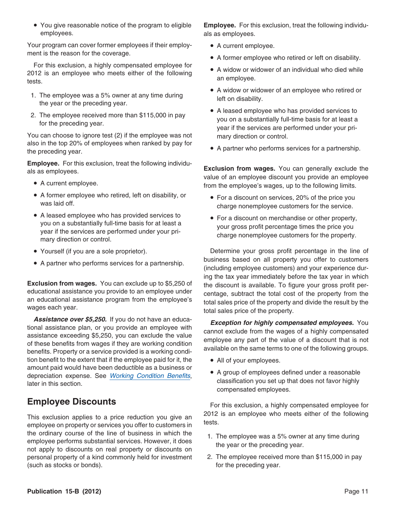• You give reasonable notice of the program to eligible employees. **als as employees**.

Your program can cover former employees if their employ- • A current employee. ment is the reason for the coverage.

For this exclusion, a highly compensated employee for  $\bullet$  A widow or widower of an individual who died while 2012 is an employee who meets either of the following an employee.<br>an employee.

- 1. The employee was a 5% owner at any time during left on disability.<br>the year or the preceding year.
- 

You can choose to ignore test (2) if the employee was not mary direction or control. also in the top 20% of employees when ranked by pay for the preceding year. The preceding year.

**Employee.** For this exclusion, treat the following individu-<br>als as employees.<br>value of an employee discount you provide an employee

- A current employee.
- A former employee who retired, left on disability, or  $\bullet$
- A leased employee who has provided services to  $\qquad \bullet$ A leased employee who has provided services to<br>you on a substantially full-time basis for at least a<br>year if the services are performed under your pri-<br>mary direction or control.
- Yourself (if you are a sole proprietor).
- 

**Exclusion from wages.** You can exclude up to \$5,250 of the discount is available. To figure your gross profit per-<br>educational assistance you provide to an employee under contage subtract the total cost of the property fr

**Assistance over \$5,250.** If you do not have an educa-<br>tional assistance plan, or you provide an employee with<br>assistance exceeding \$5,250, you can exclude the value<br>of these benefits from wages if they are working conditi tion benefit to the extent that if the employee paid for it, the • All of your employees. amount paid would have been deductible as a business or<br>deprociation expanse. See *Morking Condition Bonefite*  $\bullet$  A group of employees defined under a reasonable depreciation expense. See *Working Condition Benefits*,<br>later in this section<br>later in this section

the ordinary course of the line of business in which the employee was a 5% owner at any time during<br>employee performs substantial services. However, it does<br>not apply to discounts on real property or discounts on personal property of a kind commonly held for investment 2. The employee received more than \$115,000 in pay (such as stocks or bonds). The preceding year. The preceding year.

**Employee.** For this exclusion, treat the following individu-

- 
- A former employee who retired or left on disability.
- 
- A widow or widower of an employee who retired or
- A leased employee who has provided services to 2. The employee received more than \$115,000 in pay<br>for the preceding year.<br>you on a substantially full-time basis for at least a<br>year if the services are performed under your pri-
	-

from the employee's wages, up to the following limits.

- A former employee who retired, left on disability, or **Charge in Services**, 20% of the price you was laid off.<br>charge nonemployee customers for the service.
	-

Determine your gross profit percentage in the line of • A partner who performs services for a partnership. business based on all property you offer to customers (including employee customers) and your experience during the tax year immediately before the tax year in which equicational assistance you provide to an employee under<br>an educational assistance program from the employee's<br>wages each year.<br>total sales price of the property and divide the result by the<br>total sales price of the proper

- 
- compensated employees.

**Employee Discounts Employee Discounts** For this exclusion, a highly compensated employee for This exclusion applies to a price reduction you give an 2012 is an employee who meets either of the following employee on property or services you offer to customers in tests.

- 
-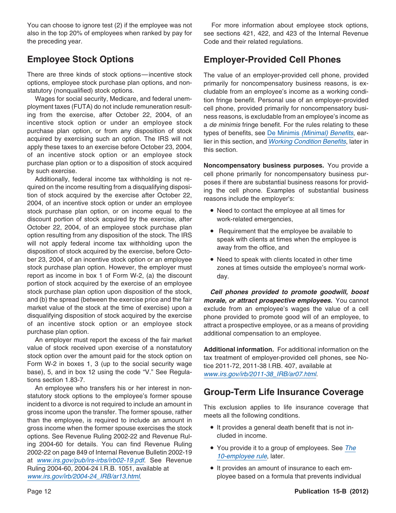You can choose to ignore test (2) if the employee was not For more information about employee stock options, also in the top 20% of employees when ranked by pay for see sections 421, 422, and 423 of the Internal Revenue the preceding year. Code and their related regulations.

There are three kinds of stock options—incentive stock The value of an employer-provided cell phone, provided options, employee stock purchase plan options, and non- primarily for noncompensatory business reasons, is ex-

Wages for social security, Medicare, and federal unem-<br>ployment taxes (FUTA) do not include remuneration result-<br>cell phone, provided primarily for noncompensatory busiployment taxes (FUTA) do not include remuneration result-<br>ing from the exercise, after October 22, 2004, of an pessipeasons is excludable from an employee's income as ing from the exercise, after October 22, 2004, of an ness reasons, is excludable from an employee's income as<br>incentive stock option or under an employee stock a de minimis fringe benefit. For the rules relating to these incentive stock option or under an employee stock a de minimis fringe benefit. For the rules relating to these<br>purchase plan option, or from any disposition of stock types of benefits, see De Minimis (Minimal) Benefits, ea acquired by exercising such an option. The IRS will not lier in this section, and Working Condition Benefits, later in apply these taxes to an exercise before October 23, 2004, this section. of an incentive stock option or an employee stock

stock purchase plan option, or on income equal to the • Need to contact the employee at all times for discount portion of stock acquired by the exercise, after work-related emergencies, October 22, 2004, of an employee stock purchase plan<br>option resulting from any disposition of the stock. The IRS<br>will not apply federal income tax withholding upon the<br>disposition of stock acquired by the exercise, before ber 23, 2004, of an incentive stock option or an employee • Need to speak with clients located in other time stock purchase plan option. However, the employer must zones at times outside the employee's normal workreport as income in box 1 of Form W-2, (a) the discount day. portion of stock acquired by the exercise of an employee stock purchase plan option upon disposition of the stock, *Cell phones provided to promote goodwill, boost* and (b) the spread (between the exercise price and the fair *morale, or attract prospective employees*. You cannot market value of the stock at the time of exercise) upon a exclude from an employee's wages the value of a cell<br>disqualifying disposition of stock acquired by the exercise phone provided to promote good will of an employee disqualifying disposition of stock acquired by the exercise phone provided to promote good will of an employee, to<br>of an incentive stock option or an employee stock attract a prospective employee, or as a means of providin of an incentive stock option or an employee stock attract a prospective employee, or as a means of providing<br>additional compensation to an employee

An employer must report the excess of the fair market value of stock received upon exercise of a nonstatutory **Additional information.** For additional information on the stock option over the amount paid for the stock option on tax treatment of employer-provided cell phones, see No-Form W-2 in boxes 1, 3 (up to the social security wage tice 2011-72, 2011-38 I.RB. 407, available at base), 5, and in box 12 using the code "V." See Regula-<br>tions section 1.83-7.

An employee who transfers his or her interest in non-<br>statutory stock options to the employee's former spouse<br>**Group-Term Life Insurance Coverage** incident to a divorce is not required to include an amount in<br>gross income upon the transfer. The former spouse, rather<br>than the employee, is required to include an amount in<br>than the employee, is required to include an am gross income when the former spouse exercises the stock  $\bullet$  It provides a general death benefit that is not inoptions. See Revenue Ruling 2002-22 and Revenue Rul- cluded in income. ing 2004-60 for details. You can find Revenue Ruling • You provide it to a group of employees. See The 2002-22 on page 849 of Internal Revenue Bulletin 2002-19<br>at www.irs.gov/pub/irs-irbs/irb02-19.pdf. See Revenue 10-employee rule, later. Ruling 2004-60, 2004-24 I.R.B. 1051, available at • • It provides an amount of insurance to each emwww.irs.gov/irb/2004-24\_IRB/ar13.html. ployee based on a formula that prevents individual

### **Employee Stock Options Employer-Provided Cell Phones**

statutory (nonqualified) stock options. The statutory cludable from an employee's income as a working condi-

purchase plan option or to a disposition of stock acquired<br>by such exercise.<br>Additionally, federal income tax withholding is not re-<br>quired on the income resulting from a disqualifying disposi-<br>tion of stock acquired by th

- 
- 
- 

additional compensation to an employee.

- 
- 
-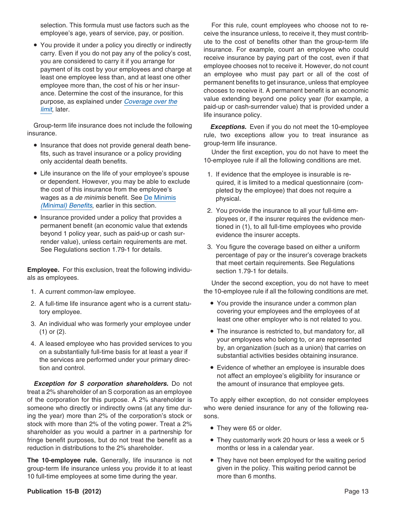selection. This formula must use factors such as the For this rule, count employees who choose not to re-

Group-term life insurance does not include the following *Exceptions*. Even if you do not meet the 10-employee<br>insurance.

- Insurance that does not provide general death bene- group-term life insurance.
- Life insurance on the life of your employee's spouse  $1.$  If evidence that the employee is insurable is rethe cost of this insurance from the employee's pleted by the employee) that does not require a wages as a *de minimis* benefit. See De Minimis physical.<br>(*Minimal*) Benefits, earlier in this section.
- Insurance provided under a policy that provides a beyond 1 policy year, such as paid-up or cash sur-<br>render value), unless certain requirements are met.

**Employee.** For this exclusion, treat the following individu-section 1.79-1 for details. als as employees. Under the second exception, you do not have to meet

- 
- 2. A full-time life insurance agent who is a current statu- You provide the insurance under a common plan tory employee. covering your employees and the employees of at
- least one other employer who is not related to you. 3. An individual who was formerly your employee under (1) or (2). **• The insurance is restricted to, but mandatory for, all**
- tion and control. Evidence of whether an employee is insurable does

**Exception for S corporation shareholders.** Do not the amount of insurance that employee gets. treat a 2% shareholder of an S corporation as an employee of the corporation for this purpose. A 2% shareholder is To apply either exception, do not consider employees someone who directly or indirectly owns (at any time dur-<br>who were denied insurance for any of the following reaing the year) more than 2% of the corporation's stock or sons. stock with more than 2% of the voting power. Treat a 2% • They were 65 or older. shareholder as you would a partner in a partnership for fringe benefit purposes, but do not treat the benefit as a • They customarily work 20 hours or less a week or 5 reduction in distributions to the 2% shareholder. months or less in a calendar year.

group-term life insurance unless you provide it to at least given in the policy. This waiting period cannot be 10 full-time employees at some time during the year. more than 6 months.

employee's age, years of service, pay, or position. ceive the insurance unless, to receive it, they must contrib-● You provide it under a policy you directly or indirectly ute to the cost of benefits other than the group-term life insurance. For example, count an employee who could • You provide it under a policy you directly or indirectly<br>
carry. Even if you do not pay any of the policy's cost,<br>
you are considered to carry it if you arrange for<br>
you are considered to carry it if you arrange for<br>
pr

rule, two exceptions allow you to treat insurance as

fits, such as travel insurance or a policy providing Under the first exception, you do not have to meet the only accidental death benefits. 10-employee rule if all the following conditions are met.

- or dependent. However, you may be able to exclude quired, it is limited to a medical questionnaire (com-
- 2. You provide the insurance to all your full-time em-Insurance provided under a policy that provides a ployees or, if the insurer requires the evidence men-<br>permanent benefit (an economic value that extends find a provide in (1) to all full-time employees who provide tioned in (1), to all full-time employees who provide
- render value), unless certain requirements are met. 3. You figure the coverage based on either a uniform See Regulations section 1.79-1 for details. that meet certain requirements. See Regulations

1. A current common-law employee. The 10-employee rule if all the following conditions are met.

- 
- 4. A leased employee who has provided services to you your employees who belong to, or are represented<br>on a substantially full-time basis for at least a year if<br>the services are performed under your primary direc-<br>substant
	- not affect an employee's eligibility for insurance or

- 
- 
- **The 10-employee rule.** Generally, life insurance is not They have not been employed for the waiting period

### **Publication 15-B (2012)** Page 13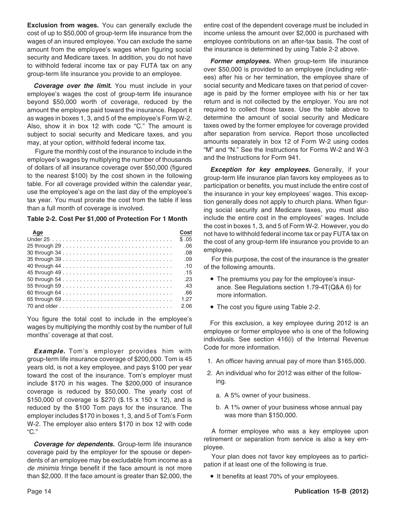**Exclusion from wages.** You can generally exclude the entire cost of the dependent coverage must be included in cost of up to \$50,000 of group-term life insurance from the income unless the amount over \$2,000 is purchased with wages of an insured employee. You can exclude the same employee contributions on an after-tax basis. The cost of amount from the employee's wages when figuring social the insurance is determined by using Table 2-2 above. security and Medicare taxes. In addition, you do not have<br>to withhold federal income tax or pay FUTA tax on any<br>group-term life insurance you provide to an employee.<br>es) after his or her termination, the employee share of

employee's wages the cost of group-term life insurance age is paid by the former employee with his or her tax beyond \$50,000 worth of coverage, reduced by the return and is not collected by the employer. You are not amount the employee paid toward the insurance. Report it required to collect those taxes. Use the table above to as wages in boxes 1, 3, and 5 of the employee's Form W-2. determine the amount of social security and Medicare Also, show it in box 12 with code "C." The amount is taxes owed by the former employee for coverage provided subject to social security and Medicare taxes, and you after separation from service. Report those uncollected

Figure the monthly cost of the insurance to include in the "M" and "N." See the Instructions for Form 941. employee's wages by multiplying the number of thousands of dollars of all insurance coverage over \$50,000 (figured<br>to the nearest \$100) by the cost shown in the following<br>table. For all coverage provided within the calendar year, participation or benefits you must include the e table. For all coverage provided within the calendar year, participation or benefits, you must include the entire cost of use the employee's age on the last day of the employee's the insurance in your key employees' wages. use the employee's age on the last day of the employee's the insurance in your key employees' wages. This excep-<br>tax year. You must prorate the cost from the table if less tion generally does not apply to church plans. Whe tax year. You must prorate the cost from the table if less tion generally does not apply to church plans. When figur-<br>than a full month of coverage is involved.

| Age | Cost  | not  |
|-----|-------|------|
|     | \$.05 | the  |
|     | .06   |      |
|     | .08   | em   |
|     | .09   |      |
|     | .10   | of t |
|     | .15   |      |
|     | .23   |      |
|     | -43   |      |
|     | .66   |      |
|     | 1.27  |      |
|     | 2.06  |      |
|     |       |      |

You figure the total cost to include in the employee's<br>wages by multiplying the monthly cost by the number of full<br>months' coverage at that cost.<br>months' coverage at that cost.<br>individuals. See section 416(i) of the Intern

Code for more information. *Example.* Tom's employer provides him with group-term life insurance coverage of \$200,000. Tom is 45 the officer having annual pay of more than \$165,000.<br>
years old, is not a key employee, and pays \$100 per year<br>
toward the cost of the insurance. Tom's employer mus coverage is reduced by \$50,000. The yearly cost of a. A 5% owner of your business.<br>\$150,000 of coverage is \$270 (\$.15 x 150 x 12), and is reduced by the \$100 Tom pays for the insurance. The b. A 1% owner of your business whose annual pay employer includes \$170 in boxes 1, 3, and 5 of Tom's Form was more than \$150,000. W-2. The employer also enters \$170 in box 12 with code "C." A former employee who was a key employee upon

**Coverage for dependents.** Group-term life insurance<br>coverage paid by the employer for the spouse or dependents of an employee may be excludable from income as a<br>de minimis fringe benefit if the face amount is not more<br>den than \$2,000. If the face amount is greater than \$2,000, the • It benefits at least 70% of your employees.

**Coverage over the limit.** You must include in your social security and Medicare taxes on that period of covermay, at your option, withhold federal income tax.<br>Figure the monthly cost of the insurance to include in the "M" and "N." See the Instructions for Forms W-2 and W-3

ing social security and Medicare taxes, you must also **Table 2-2. Cost Per \$1,000 of Protection For 1 Month** include the entire cost in the employees' wages. Include the cost in boxes 1, 3, and 5 of Form W-2. However, you do not have to withhold federal income tax or pay FUTA tax on<br>the cost of any group-term life insurance you provide to an<br>employee.

> For this purpose, the cost of the insurance is the greater of the following amounts.

- The premiums you pay for the employee's insurance. See Regulations section 1.79-4T(Q&A 6) for<br>more information.
- The cost you figure using Table 2-2.

- 
- -
	-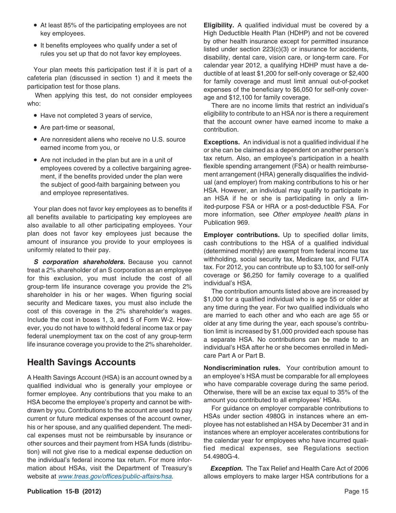- At least 85% of the participating employees are not
- 

who: who: who: There are no income limits that restrict an individual's

- 
- Are part-time or seasonal, example and the contribution.
- Are nonresident aliens who receive no U.S. source
- Are not included in the plan but are in a unit of

plan does not favor key employees just because the **Employer contributions.** Up to specified dollar limits, amount of insurance you provide to your employees is cash contributions to the HSA of a qualified individual<br>(determined monthly) are exempt from federal income tax

**S corporation shareholders.** Because you cannot withholding, social security tax, Medicare tax, and FUTA treat a 2% shareholder of an S corporation as an employee for this exclusion, you must include the cost of all cove

# **Health Savings Accounts**<br>**Nondiscrimination rules.** Your contribution amount to

qualified individual who is generally your employee or who have comparable coverage during the same period.<br>former employee, Any contributions that you make to an Otherwise, there will be an excise tax equal to 35% of the former employee. Any contributions that you make to an Utherwise, there will be an excise tax equal to 35<br>HSA became the employee's property and cannot be with. amount you contributed to all employees' HSAs. HSA become the employee's property and cannot be with-<br>drawn by you, Contributions to the account are used to nay. For guidance on employer comparable contributions to drawn by you. Contributions to the account are used to pay<br>current or future medical expenses of the account owner,<br>his or her spouse, and any qualified dependent. The medi-<br>cal expenses must not be reimbursable by insuran mation about HSAs, visit the Department of Treasury's *Exception.* The Tax Relief and Health Care Act of 2006 website at www.treas.gov/offices/public-affairs/hsa. allows employers to make larger HSA contributions for a

Eligibility. A qualified individual must be covered by a key employees. High Deductible Health Plan (HDHP) and not be covered • It benefits employees who qualify under a set of by other health insurance except for permitted insurance • It benefits employees who qualify under a set of It benefits employees who qualify under a set of listed under section 223(c)(3) or insurance for accidents, rules you set up that do not favor key employees.<br>disability, dental care, vision care, or long-term care. For Your plan meets this participation test if it is part of a<br>cafeteria plan (discussed in section 1) and it meets the<br>participation test for those plans.<br>When applying this test, do not consider employees early \$1,200 for fa

• Have not completed 3 years of service, eligibility to contribute to an HSA nor is there a requirement that the account owner have earned income to make a

Are nonresident aliens who receive no U.S. source<br>**Exceptions.** An individual is not a qualified individual if he<br>or she can be claimed as a dependent on another person's tax return. Also, an employee's participation in a health employees covered by a collective bargaining agree-<br>
flexible spending arrangement (FSA) or health reimbursement, if the benefits provided under the plan were ment arrangement (HRA) generally disqualifies the individ-<br>the subject of good-faith bargaining between you ual (and employer) from making contributions to his or her the subject of good-faith bargaining between you bual (and employer) from making contributions to his or her<br>and employee representatives.<br>an HSA if he or she is participating in only a lim-Your plan does not favor key employees as to benefits if the d-purpose FSA or HRA or a post-deductible FSA. For all benefits available to participating key employees are more information, see Other employee health plans in

(determined monthly) are exempt from federal income tax.

care Part A or Part B.

A Health Savings Account (HSA) is an account owned by a an employee's HSA must be comparable for all employees<br>qualified individual who is generally your employee or who have comparable coverage during the same period.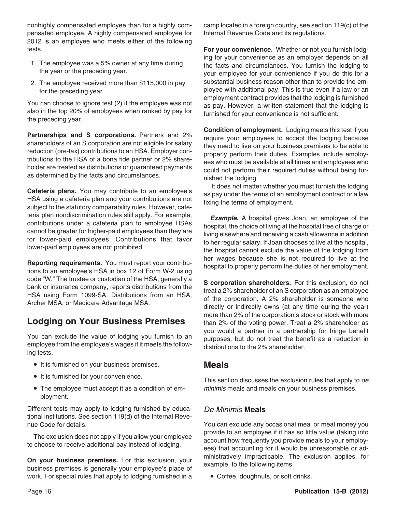nonhighly compensated employee than for a highly com- camp located in a foreign country, see section 119(c) of the pensated employee. A highly compensated employee for Internal Revenue Code and its regulations. 2012 is an employee who meets either of the following tests. **For your convenience.** Whether or not you furnish lodg-

- 
- 

You can choose to ignore test (2) if the employee was not<br>as pay. However, a written statement that the lodging is<br>the preceding year.<br>the preceding year.

**Reporting requirements.** You must report your contribu-<br>tions to an employee's HSA in box 12 of Form W-2 using<br>lespital to properly perform the duties of her employment.

ing tests.

- It is furnished on your business premises. **Meals**
- It is furnished for your convenience.
- The employee must accept it as a condition of employment.

Different tests may apply to lodging furnished by educa- De Minimis **Meals** tional institutions. See section 119(d) of the Internal Revenue Code for details. You can exclude any occasional meal or meal money you

work. For special rules that apply to lodging furnished in a **•** Coffee, doughnuts, or soft drinks.

1. The employee was a 5% owner at any time during<br>the facts and circumstances. You furnish the lodging to<br>your employee for your convenience if you do this for a<br>your employee for your convenience if you do this for a 2. The employee received more than \$115,000 in pay substantial business reason other than to provide the emfor the preceding year.<br>ployee with additional pay. This is true even if a law or an<br>employment contract provides that the lodging is furnished

**Partnerships and S corporations.** Partners and 2%<br>
shareholders of an S corporation are not eligible for salary<br>
reduction (pre-tax) contributions to an HSA. Employer con-<br>
tributions to the HSA of a bona fide partner or

**Cafeteria plans.** You may contribute to an employee's<br>
HSA using a cafeteria plan and your contributions are not<br>
subject to the statutory comparability rules. However, cafe-<br>
subject to the statutory comparability rules.

teria plan nondiscrimination rules still apply. For example,<br>contributions under a cafeteria plan to employee HSAs<br>cannot be greater for higher-paid employees than they are<br>for lower-paid employees. Contributions that favo

code "W." The trustee or custodian of the HSA, generally a<br>bank or insurance company, reports distributions from the<br>HSA using Form 1099-SA, Distributions from an HSA,<br>Archer MSA, or Medicare Advantage MSA.<br>Archer MSA, or more than 2% of the corporation's stock or stock with more **Lodging on Your Business Premises** than 2% of the voting power. Treat a 2% shareholder as You can exclude the value of lodging you furnish to an<br>employee from the employee's wages if it meets the follow-<br>distributions to the 2% shareholder.

This section discusses the exclusion rules that apply to de minimis meals and meals on your business premises.

The exclusion does not apply if you allow your employee<br>to choose to receive additional pay instead of lodging.<br>to choose to receive additional pay instead of lodging.<br>ees) that accounting for it would be unreasonable or a **On your business premises.** For this exclusion, your ministratively impracticable. The exclusion applies, for business premises is generally your employee's place of example, to the following items.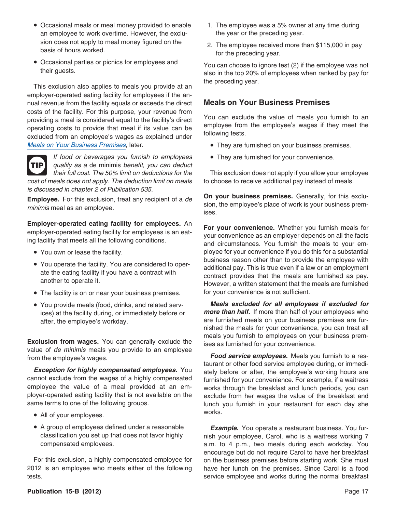- Occasional meals or meal money provided to enable 1. The employee was a 5% owner at any time during an employee to work overtime. However, the exclu- the year or the preceding year.
- Occasional parties or picnics for employees and

the preceding year. This exclusion also applies to meals you provide at an employer-operated eating facility for employees if the annual revenue from the facility equals or exceeds the direct **Meals on Your Business Premises** costs of the facility. For this purpose, your revenue from<br>providing a meal is considered equal to the facility's direct<br>operating costs to provide that meal if its value can be<br>excluded from an employee's wages as explain Meals on Your Business Premises, later. • • They are furnished on your business premises.



If food or beverages you furnish to employees • They are furnished for your convenience. qualify as a de minimis benefit, you can deduct

is discussed in chapter 2 of Publication 535.

**Employer-operated eating facility for employees.** An **For your convenience.** Whether you furnish meals for employer-operated eating facility for employees is an eat-<br>ing facility that meets all the following conditions. a

- You own or lease the facility.
- 
- The facility is on or near your business premises. For your convenience is not sufficient.
- 

**Exclusion from wages.** You can generally exclude the<br>value of *de minimis* meals you provide to an employee<br>from the employee's wages

cannot exclude from the wages of a highly compensated furnished for your convenience. For example, if a waitress<br>For the value of a meal provided at an em-<br>exports through the preakfast and lunch periods you can employee the value of a meal provided at an em-<br>ployer-operated eating facility that is not available on the exclude from her wages the value of the breakfast and ployer-operated eating facility that is not available on the exclude from her wages the value of the breakfast and

- works. All of your employees.
- A group of employees defined under a reasonable

2012 is an employee who meets either of the following have her lunch on the premises. Since Carol is a food tests. service employee and works during the normal breakfast

- 
- sion does not apply to meal money figured on the 2. The employee received more than \$115,000 in pay basis of hours worked.

Occasional parties or picnics for employees and You can choose to ignore test (2) if the employee was not their guests.<br>also in the top 20% of employees when ranked by pay for

- 
- 

their full cost. The 50% limit on deductions for the This exclusion does not apply if you allow your employee cost of meals does not apply. The deduction limit on meals to choose to receive additional pay instead of meals.

**Employee.** For this exclusion, treat any recipient of a de **On your business premises.** Generally, for this exclu-Employee: Terms excludion, the any recipient of a depth of the employee's place of work is your business prem-<br>ises.

ployee for your convenience if you do this for a substantial • You operate the facility. You are considered to oper-<br>additional pay. This is true even if a law or an employment ate the eating facility if you have a contract with<br>contract provides that the meals are furnished as pay.<br>However, a written statement that the meals are furnished

• You provide meals (food, drinks, and related serv- *Meals excluded for all employees if excluded for* ices) at the facility during, or immediately before or *more than half.* If more than half of your employees who after, the employee's workday. are furnished meals on your business premises are furnished the meals for your convenience, you can treat all

from the employee's wages.<br> **Exception for highly compensated employees.** You<br> **Exception for highly compensated employees.** You<br>
cannot exclude from the wages of a highly compensated<br>
cannot exclude from the wages of a hi lunch you furnish in your restaurant for each day she

**Example.** You operate a restaurant business. You furclassification you set up that does not favor highly nish your employee, Carol, who is a waitress working 7 compensated employees. The same state of the 4 p.m., two meals during each workday. You encourage but do not require Carol to have her breakfast For this exclusion, a highly compensated employee for on the business premises before starting work. She must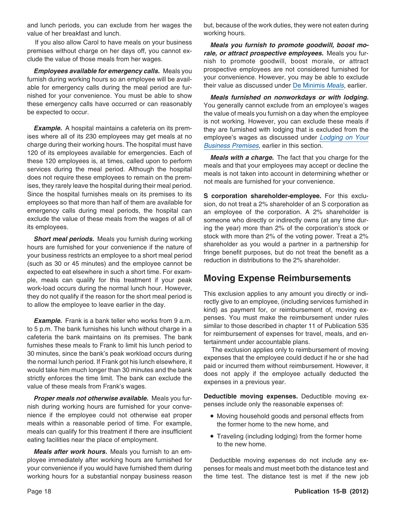value of her breakfast and lunch. working hours.

If you also allow Carol to have meals on your business<br>premises without charge on her days off, you cannot ex-<br>clude the value of those meals from her wages.<br>https://without.clude the value of those meals from her wages.<br>h

furnish during working hours so an employee will be avail-<br>able for emergency calls during the meal period are fur-<br>their value as discussed under De Minimis Meals, earlier. nished for your convenience. You must be able to show *Meals furnished on nonworkdays or with lodging.*

charge during their working hours. The hospital must have Business Premises, earlier in this section. 120 of its employees available for emergencies. Each of<br>these 120 employees is, at times, called upon to perform<br>services during the meal period. Although the hospital<br>does not require these employees to remain on the prem Since the hospital furnishes meals on its premises to its **S corporation shareholder-employee.** For this excluenty employees so that more than half of them are available for sign do not treat a 2% shareholder of an S corpo employees so that more than half of them are available for sion, do not treat a 2% shareholder of an S corporation as<br>Examployees and S corporation as emergency calls are the solution of the corporation. A 2% shareholder i emergency calls during meal periods, the hospital can an employee of the corporation. A 2% shareholder is exclude the value of these meals from the wages of all of someone who directly or indirectly owns (at any time durits employees. ing the year) more than 2% of the corporation's stock or

hours are furnished for your convenience if the nature of<br>your business restricts an employee to a short meal period<br>(such as 30 or 45 minutes) and the employee cannot be<br>firm the distributions to the 2% shareholder. expected to eat elsewhere in such a short time. For example, meals can qualify for this treatment if your peak **Moving Expense Reimbursements** work-load occurs during the normal lunch hour. However,<br>they do not qualify if the reason for the short meal period is<br>to allow the employee to leave earlier in the day.<br>kind) as payment for, or reimbursement of, moving ex

to 5 p.m. The bank furnishes his lunch without charge in a<br>cafeteria the bank maintains on its premises. The bank<br>furnishes these meals to Frank to limit his lunch period to<br>30 minutes, since the bank's peak workload occur

**Proper meals not otherwise available.** Meals you fur-<br>**Deductible moving expenses.** Deductible moving ex-<br>nish during working hours are furnished for your conve-<br>penses include only the reasonable expenses of: nience if the employee could not otherwise eat proper • Moving household goods and personal effects from meals within a reasonable period of time. For example, the former home to the new home, and meals can qualify for this treatment if there are insufficient eating facilities near the place of employment.

*Meals after work hours.* Meals you furnish to an employee immediately after working hours are furnished for Deductible moving expenses do not include any exyour convenience if you would have furnished them during penses for meals and must meet both the distance test and working hours for a substantial nonpay business reason the time test. The distance test is met if the new job

and lunch periods, you can exclude from her wages the but, because of the work duties, they were not eaten during

*Employees available for emergency calls.* Meals you prospective employees are not considered furnished for rish during working hours so an employee will be avail-

these emergency calls have occurred or can reasonably You generally cannot exclude from an employee's wages be expected to occur. the value of meals you furnish on a day when the employee is not working. However, you can exclude these meals if **Example.** A hospital maintains a cafeteria on its prem-<br>they are furnished with lodging that is excluded from the ises where all of its 230 employees may get meals at no employee's wages as discussed under Lodging on Your

someone who directly or indirectly owns (at any time dur-**Short meal periods.** Meals you furnish during working stock with more than 2% of the voting power. Treat a 2% shareholder as you would a partner in a partnership for

**Example.** Frank is a bank teller who works from 9 a.m. penses. You must make the reimbursement under rules **Example.** Frank is a bank teller who works from 9 a.m. similar to those described in chapter 11 of Publication 53

- 
- Traveling (including lodging) from the former home to the new home.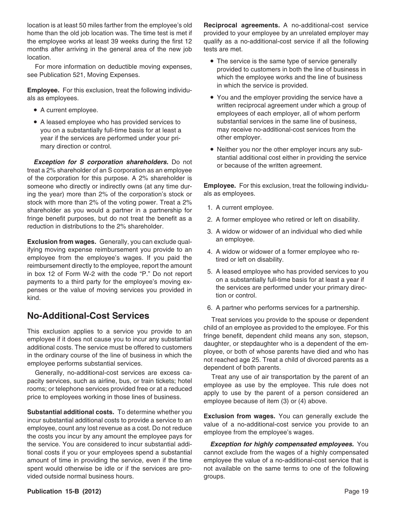location is at least 50 miles farther from the employee's old **Reciprocal agreements.** A no-additional-cost service home than the old job location was. The time test is met if provided to your employee by an unrelated employer may the employee works at least 39 weeks during the first 12 qualify as a no-additional-cost service if all the following months after arriving in the general area of the new job tests are met. location.

in which the service is provided. **Employee.** For this exclusion, treat the following individuals as employees. • The service have a service have a service have a service have a service have a service have a

- 
- A leased employee who has provided services to substantial services in the same line of business, year if the services are performed under your pri-<br>
other employer. mary direction or control. •

**Exception for S corporation shareholders.** Do not **because of the written agreement** treat a 2% shareholder of an S corporation as an employee treat a 2% shareholder of an S corporation as an employee of the corporation for this purpose. A 2% shareholder is someone who directly or indirectly owns (at any time dur- **Employee.** For this exclusion, treat the following individuing the year) more than 2% of the corporation's stock or als as employees. stock with more than 2% of the voting power. Treat a 2% <br>shareholder as you would a partner in a partnership for 1. A current employee. fringe benefit purposes, but do not treat the benefit as a 2. A former employee who retired or left on disability. reduction in distributions to the 2% shareholder.

**Exclusion from wages.** Generally, you can exclude qual- an employee. ifying moving expense reimbursement you provide to an 4. A widow or widower of a former employee who reemployee from the employee's wages. If you paid the tired or left on disability.<br>reimbursement directly to the employee, report the amount reimbursement directly to the employee, report the amount<br>in box 12 of Form W-2 with the code "P." Do not report 5. A leased employee who has provided services to you<br>payments to a third party for the employee's moving ex-

### **No-Additional-Cost Services**<br>Treat services you provide to the spouse or dependent

**Substantial additional costs.** To determine whether you<br>incur substantial additional costs to provide a service to an<br>employee, count any lost revenue as a cost. Do not reduce<br>the costs you incur by any amount the employe the service. You are considered to incur substantial addi- *Exception for highly compensated employees.* You tional costs if you or your employees spend a substantial cannot exclude from the wages of a highly compensated amount of time in providing the service, even if the time employee the value of a no-additional-cost service that is spent would otherwise be idle or if the services are pro- not available on the same terms to one of the following vided outside normal business hours. The same proups.

- The service is the same type of service generally For more information on deductible moving expenses,<br>see Publication 521, Moving Expenses.<br>which the employee works and the line of business in
	- written reciprocal agreement under which a group of •employees of each employer, all of whom perform you on a substantially full-time basis for at least a may receive no-additional-cost services from the
		- Neither you nor the other employer incurs any sub-

- 
- 
- 3. A widow or widower of an individual who died while
- 
- 
- 6. A partner who performs services for a partnership.

This exclusion applies to a service you provide to an<br>employee as provided to the employee. For this<br>employee if it does not cause you to incur any substantial<br>additional costs. The service must be offered to customers<br>in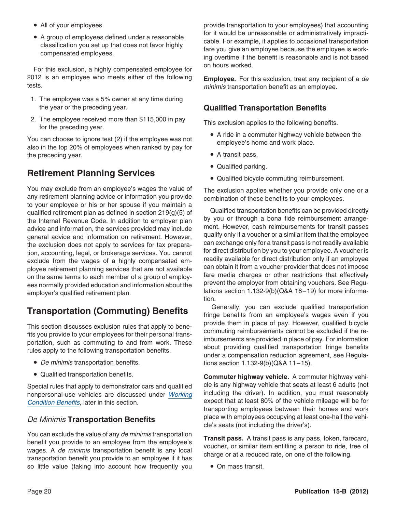- All of your employees.
- 

on hours worked. For this exclusion, a highly compensated employee for 2012 is an employee who meets either of the following **Employee.** For this exclusion, treat any recipient of a de

- 1. The employee was a 5% owner at any time during the year or the preceding year. **Qualified Transportation Benefits**
- 2. The employee received more than \$115,000 in pay This exclusion applies to the following benefits. for the preceding year.

You can choose to ignore test (2) if the employee was not<br>also in the top 20% of employees when ranked by pay for<br>employee's home and work place. the preceding year. **•** A transit pass.

### **Retirement Planning Services** •

You may exclude from an employee's wages the value of<br>any retirement planing advice or information you provide only and to your employee or his or her spouse if you maintain a<br>qualified retirement plan as defined in sectio

- De minimis transportation benefits.
- Qualified transportation benefits.

nonpersonal-use vehicles are discussed under Working Condition Benefits, later in this section. The same of that at least 80% of the vehicle mileage will be for

You can exclude the value of any *de minimis* transportation<br>benefit you provide to an employee from the employee's<br>wages. A *de minimis* transportation benefit is any local<br>transportation benefit you provide to an employe so little value (taking into account how frequently you . • On mass transit.

provide transportation to your employees) that accounting • A group of employees defined under a reasonable for it would be unreasonable or administratively impractirection you set up that does not favor highly<br>cable. For example, it applies to occasional transportation<br>compensated employees.<br>ing overtime if the benefit is reasonable and is not based

minimis transportation benefit as an employee.

- A ride in a commuter highway vehicle between the
- 
- Qualified parking.
- Qualified bicycle commuting reimbursement.

**Transportation (Commuting) Benefits** Generally, you can exclude qualified transportation **Transportation** fringe benefits from an employee's wages even if you This section discusses exclusion rules that apply to bene-<br>fits you provide to your employees for their personal trans-<br>portation, such as commuting to and from work. These<br>rules apply to the following transportation benef tions section  $1.132-9(b)(Q&A 11-15)$ .

**Commuter highway vehicle.** A commuter highway vehi-Special rules that apply to demonstrator cars and qualified cle is any highway vehicle that seats at least 6 adults (not<br>nonpersonal-use vehicles are discussed under *Working* including the driver). In addition, you must r transporting employees between their homes and work De Minimis **Transportation Benefits** place with employees occupying at least one-half the vehi-<br>cle's seats (not including the driver's).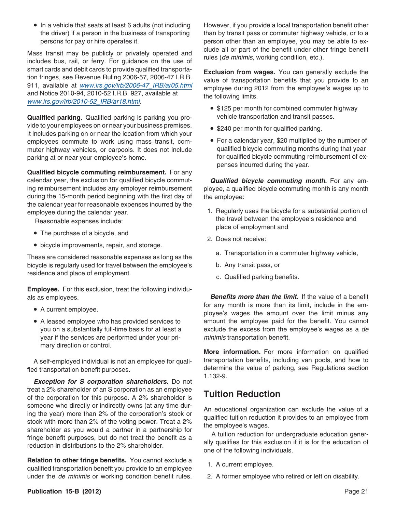• In a vehicle that seats at least 6 adults (not including

smart cards and debit cards to provide qualified transporta-<br>tion fringes, see Revenue Ruling 2006-57, 2006-47 I.R.B.<br>911, available at *www.irs.gov/irb/2006-47\_IRB/ar05.html* employee during 2012 from the employee's wages

**Qualified parking.** Qualified parking is parking you pro- vehicle transportation and transit passes. vide to your employees on or near your business premises. • \$240 per month for qualified parking. It includes parking on or near the location from which your<br>employees commute to work using mass transit, com-<br>Pror a calendar year, \$20 multiplied by the number of employees commute to work using mass transit, com-<br>muter highway vehicles, or carpools, It does not include qualified bicycle commuting months during that year muter highway vehicles, or carpools. It does not include parking at or near your employee's home. For section of parking at or near your employee's home.

**Qualified bicycle commuting reimbursement.** For any calendar year, the exclusion for qualified bicycle commut- **Qualified bicycle commuting month.** For any eming reimbursement includes any employer reimbursement ployee, a qualified bicycle commuting month is any month during the 15-month period beginning with the first day of the employee: the calendar year for reasonable expenses incurred by the employee during the calendar year. 1. Regularly uses the bicycle for a substantial portion of

- The purchase of a bicycle, and 2. Does not receive:
- bicycle improvements, repair, and storage.

a. Transportation in a commuter highway vehicle, These are considered reasonable expenses as long as the bicycle is regularly used for travel between the employee's b. Any transit pass, or residence and place of employment.<br> **Example 2** c. Qualified parking benefits.

**Employee.** For this exclusion, treat the following individuals as employees. *Benefits more than the limit.* If the value of a benefit

- 
- A leased employee who has provided services to year if the services are performed under your pri- minimis transportation benefit. mary direction or control.

fied transportation benefit purposes. The state of parking, see Regulations section

*Exception for S corporation shareholders.* Do not treat a 2% shareholder of an S corporation as an employee of the corporation for this purpose. A 2% shareholder is **Tuition Reduction** someone who directly or indirectly owns (at any time dur-<br>ing the year) more than 2% of the corporation's stock or<br>stock with more than 2% of the voting power. Treat a 2%<br>shareholder as you would a partner in a partnership

**Relation to other fringe benefits.** You cannot exclude a qualified transportation benefit you provide to an employee 1. A current employee. under the *de minimis* or working condition benefit rules. 2. A former employee who retired or left on disability.

However, if you provide a local transportation benefit other the driver) if a person in the business of transporting than by transit pass or commuter highway vehicle, or to a persons for pay or hire operates it. person other than an employee, you may be able to ex-Mass transit may be publicly or privately operated and clude all or part of the benefit under other fringe benefit includes bus, rail, or ferry. For guidance on the use of rules (*de minimis*, working condition, etc.).

- \$125 per month for combined commuter highway
- 
- penses incurred during the year.

- Reasonable expenses include:<br>
Reasonable expenses include:<br>
The travel between the employee's residence and place of employment and
	- -
		-
		-

for any month is more than its limit, include in the em- •ployee's wages the amount over the limit minus any amount the employee paid for the benefit. You cannot you on a substantially full-time basis for at least a exclude the excess from the employee's wages as a de

**More information.** For more information on qualified A self-employed individual is not an employee for quali- transportation benefits, including van pools, and how to 1.132-9.

- 
- 

### **Publication 15-B (2012)** Page 21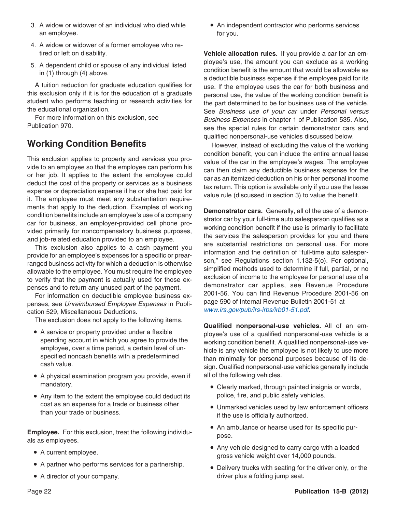- 3. A widow or widower of an individual who died while An independent contractor who performs services an employee. **for you.** The same state of the same state of the same state of the same state of the same state o
- 4. A widow or widower of a former employee who re-
- 

A tuition reduction for graduate education qualifies for use. If the employee uses the car for both business and<br>this exclusion only if it is for the education of a graduate personal use the value of the working condition this exclusion only if it is for the education of a graduate personal use, the value of the working condition benefit is<br>student who performs teaching or research activities for the part determined to be for business use o student who performs teaching or research activities for the part determined to be for business use of the vehicle.<br>The educational organization.

This exclusion applies to property and services you pro-<br>vide to an employee so that the employee can perform his<br>or her job. It applies to the extent the employee could<br>deduct the cost of the property or services as a bus

cation 529, Miscellaneous Deductions.

- A service or property provided under a flexible
- $\bullet$  A physical examination program you provide, even if  $\qquad$  all of the following vehicles. mandatory.
- Any item to the extent the employee could deduct its police, fire, and public safety vehicles. cost as an expense for a trade or business other •

**Employee.** For this exclusion, treat the following individu-<br>als as employees.<br>

- 
- A partner who performs services for a partnership. •
- A director of your company.

tired or left on disability. **Vehicle allocation rules.** If you provide a car for an em-5. A dependent child or spouse of any individual listed<br>in (1) through (4) above.<br>a deductible business expense if the employee paid for its<br>A tuition reduction for graduate education qualifies for<br>like in the employee use educational organization.<br>For more information on this exclusion, see **Sumple and See Business use of your car under Personal versus** For more information on this exclusion, see Business Expenses in chapter 1 of Publication 535. Also,<br>See the special rules for certain demonstrator cars and qualified nonpersonal-use vehicles discussed below.

**Working Condition Benefits** However, instead of excluding the value of the working

ments that apply to the deduction. Examples of working<br>condition benefits include an employee's use of a company<br>car for business, an employer-provided cell phone pro-<br>vided primarily for noncompensatory business purposes, ranged business activity for which a deduction is otherwise<br>allowable to the employee. You must require the employee<br>to verify that the payment is actually used for those ex-<br>penses and to return any unused part of the pay

The exclusion does not apply to the following items. **Qualified nonpersonal-use vehicles.** All of an em- A service or property provided under a flexible ployee's use of a qualified nonpersonal-use vehicle is a<br>spending account in which you agree to provide the succession condition benefit. A qualified nonpersonal-use ve spending account in which you agree to provide the working condition benefit. A qualified nonpersonal-use ve-<br>employee, over a time period, a certain level of un-<br>specified noncash benefits with a predetermined<br>cash value.

- Clearly marked, through painted insignia or words,
- Unmarked vehicles used by law enforcement officers than your trade or business. if the use is officially authorized.
	- An ambulance or hearse used for its specific pur-
- Any vehicle designed to carry cargo with a loaded Any vehicle designed to carry cargo with a loaded • A current employee.<br>gross vehicle weight over 14,000 pounds.
	- Delivery trucks with seating for the driver only, or the driver plus a folding jump seat.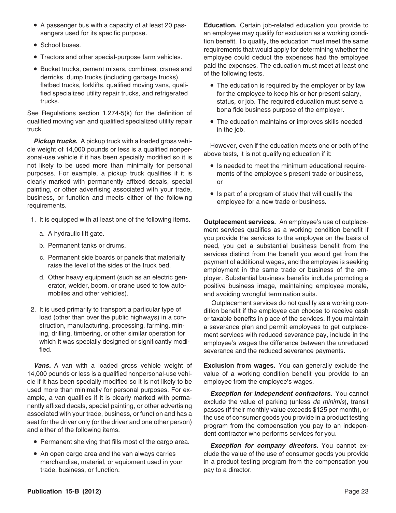- A passenger bus with a capacity of at least 20 pas-
- 
- Tractors and other special-purpose farm vehicles.
- derricks, dump trucks (including garbage trucks), fied specialized utility repair trucks, and refrigerated for the employee to keep his or her present salary,

bona fide business purpose of the employer. See Regulations section 1.274-5(k) for the definition of qualified moving van and qualified specialized utility repair • The education maintains or improves skills needed truck. **in the job. in the job.** 

**Pickup trucks.** A pickup truck with a loaded gross vehi-<br>cle weight of 14,000 pounds or less is a qualified nonper-<br>sonal-use vehicle if it has been specially modified so it is<br>above tests, it is not qualifying education not likely to be used more than minimally for personal  $\bullet$  Is needed to meet the minimum educational requirepurposes. For example, a pickup truck qualifies if it is ments of the employee's present trade or business, clearly marked with permanently affixed decals, special or painting, or other advertising associated with your trade,<br>
Is part of a program of study that will qualify the business, or function and meets either of the following employee for a new trade or business.<br>
requirements.

- -
	-
	-
	- mobiles and other vehicles). The same and avoiding wrongful termination suits.
- 

14,000 pounds or less is a qualified nonpersonal-use vehi- value of a working condition benefit you provide to an cle if it has been specially modified so it is not likely to be employee from the employee's wages.

- Permanent shelving that fills most of the cargo area.
- trade, business, or function. The pay to a director.

Education. Certain job-related education you provide to sengers used for its specific purpose.  $\qquad \qquad \text{an employee may quality for exclusion as a working condi-}$ tion benefit. To qualify, the education must meet the same •requirements that would apply for determining whether the employee could deduct the expenses had the employee • Bucket trucks, cement mixers, combines, cranes and paid the expenses. The education must meet at least one of the following tests.

- flatbed trucks, forklifts, qualified moving vans, quali-<br>• The education is required by the employer or by law trucks. The required education must serve a status, or job. The required education must serve a
	-

- 
- 

1. It is equipped with at least one of the following items. **Outplacement services.** An employee's use of outplacea. A hydraulic lift gate.  $\blacksquare$  a. A hydraulic lift gate.  $\blacksquare$  a. A hydraulic lift gate. b. Permanent tanks or drums. need, you get a substantial business benefit from the c. Permanent side boards or panels that materially<br>raise the level of the sides of the truck bed.<br>mployment in the same trade or business of the emd. Other heavy equipment (such as an electric gen- ployer. Substantial business benefits include promoting a erator, welder, boom, or crane used to tow auto-<br>positive business image, maintaining employee morale,

Outplacement services do not qualify as a working con-2. It is used primarily to transport a particular type of dition benefit if the employee can choose to receive cash<br>load (other than over the public highways) in a con-<br>or taxable benefits in place of the services If you m load (other than over the public highways) in a con-<br>struction, manufacturing, processing, farming, min-<br>a severance plan and permit employees to get outplacestruction, manufacturing, processing, farming, min-<br>ing, drilling, timbering, or other similar operation for and ment services with reduced severance pay, include in the ing, drilling, timbering, or other similar operation for ment services with reduced severance pay, include in the<br>which it was specially designed or significantly modi-omployee's wages the difference between the unreduced which it was specially designed or significantly modi- employee's wages the difference between the unreduced<br>fied. severance and the reduced severance payments.

*Vans.* A van with a loaded gross vehicle weight of **Exclusion from wages.** You can generally exclude the

used more than minimally for personal purposes. For ex-<br>ample, a van qualifies if it is clearly marked with perma-<br>nently affixed decals, special painting, or other advertising<br>associated with your trade, business, or func

Exception for company directors. You cannot ex-• An open cargo area and the van always carries clude the value of the use of consumer goods you provide merchandise, material, or equipment used in your in a product testing program from the compensation you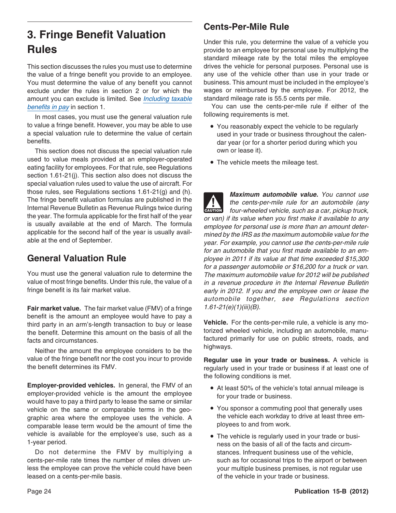# **3. Fringe Benefit Valuation**<br>
Under this rule, you determine the value of a vehicle you<br>
provide to an employee for personal use by multiplying the

This section discusses the rules you must use to determine drives the vehicle for personal purposes. Personal use is the value of a fringe benefit you provide to an employee. any use of the vehicle other than use in your trade or You must determine the value of any benefit you cannot business. This amount must be included in the employee's exclude under the rules in section 2 or for which the wages or reimbursed by the employee. For 2012, the amount you can exclude is limited. See *Including taxable* standard mileage rate is 55.5 cents per mile. benefits in pay in section 1.

In most cases, you must use the general valuation rule following requirements is met. to value a fringe benefit. However, you may be able to use • You reasonably expect the vehicle to be regularly<br>a special valuation rule to determine the value of certain a special valuation rule to determine the value of certain used in your trade or business throughout the calen-<br>benefits.

This section does not discuss the special valuation rule own or lease it). used to value meals provided at an employer-operated • The vehicle meets the mileage test. eating facility for employees. For that rule, see Regulations section 1.61-21(j). This section also does not discuss the special valuation rules used to value the use of aircraft. For those rules, see Regulations sections 1.61-21(g) and (h).<br>The fringe benefit valuation formulas are published in the **the cents-par-mile rule for an automobile** (any The fringe benefit valuation formulas are published in the the the cents-per-mile rule for an automobile (any<br>Internal Revenue Bulletin as Revenue Rulings twice during the carries of the cents-per-mile rule for an automobi

You must use the general valuation rule to determine the The maximum automobile value for 2012 will be published<br>value of most fringe benefits. Under this rule, the value of a in a revenue procedure in the Internal Revenue value of most fringe benefits. Under this rule, the value of a in a revenue procedure in the Internal Revenue Bulletin<br>fringe benefit is its fair market value.<br>early in 2012. If you and the employee own or lease the

**Fair market value.** The fair market value (FMV) of a fringe  $1.61-21(e)(1)(iii)(B)$ . benefit is the amount an employee would have to pay a<br>third party in an arm's-length transaction to buy or lease<br>the benefit. Determine this amount on the basis of all the<br>torized wheeled vehicle, including an automobile, facts and circumstances. The state of the state of the factured primarily for use on public streets, roads, and

highways. Neither the amount the employee considers to be the value of the fringe benefit nor the cost you incur to provide **Regular use in your trade or business.** A vehicle is

Employer-provided vehicles. In general, the FMV of an • At least 50% of the vehicle's total annual mileage is employer-provided vehicle is the amount the employee<br>would have to pay a third party to lease the same or similar<br>vehicle on the same or comparable terms in the geo-<br> $\bullet$  You sponsor a commuting pool that generally uses vehicle on the same or comparable terms in the geo-<br>
organic area where the employee uses the vehicle A the vehicle each workday to drive at least three emgraphic area where the employee uses the vehicle. A the vehicle each workday to and from work. comparable lease term would be the amount of time the vehicle is available for the employee's use, such as a Vehicle is available for the employee's use, such as a verticle is regularly used in your trade or busi-<br>1-year period. ness on the basis of all of the facts and circum-

Do not determine the FMV by multiplying a stances. Infrequent business use of the vehicle, cents-per-mile rate times the number of miles driven un- such as for occasional trips to the airport or between less the employee can prove the vehicle could have been your multiple business premises, is not regular use leased on a cents-per-mile basis.  $\blacksquare$  of the vehicle in your trade or business.

### **Cents-Per-Mile Rule**

provide to an employee for personal use by multiplying the standard mileage rate by the total miles the employee

- dar year (or for a shorter period during which you
- 

the year. The formula applicable for the first half of the year or van) if its value when you first make it available to any<br>is usually available at the end of March. The formula<br>applicable for the second half of the year for an automobile that you first made available to an em-**General Valuation Rule** ployee in 2011 if its value at that time exceeded \$15,300 for a passenger automobile or \$16,200 for a truck or van. early in 2012. If you and the employee own or lease the automobile together, see Regulations section

regularly used in your trade or business if at least one of the following conditions is met.

- 
- 
-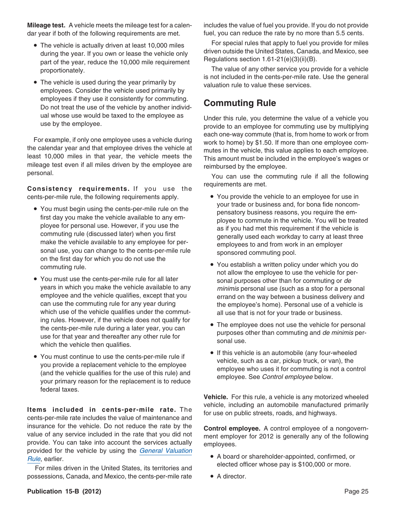**Mileage test.** A vehicle meets the mileage test for a calen- includes the value of fuel you provide. If you do not provide dar year if both of the following requirements are met. **Fuel**, you can reduce the rate by no more than 5.5 cents.

- during the year. If you own or lease the vehicle only driven outside the United States, Canada, and Mexico, see<br>part of the year, reduce the 10,000 mile requirement Regulations section 1.61-21(e)(3)(ii)(B).
- $\bullet$  The vehicle is used during the year primarily by  $v$  valuation rule to value these services. employees. Consider the vehicle used primarily by employees if they use it consistently for commuting.<br>Do not treat the use of the vehicle by another individ-<br>**Commuting Rule**

requirements are met. **Consistency requirements.** If you use the cents-per-mile rule, the following requirements apply. • You provide the vehicle to an employee for use in

- You must begin using the cents-per-mile rule on the<br>
first day you make the vehicle available to any em-<br>
ployee to commute in the vehicle. You will be treated<br>
commuting rule (discussed later) when you first<br>
make the v
- You must use the cents-per-mile rule for all later You must use the cents-per-mile rule for all later sonal purposes other than for commuting or de<br>years in which you make the vehicle available to any sonal purposes other than for commuting or de which use of the vehicle qualifies under the commut-<br>all use that is not for your trade or business. ing rules. However, if the vehicle does not qualify for<br>the cents-per-mile rule during a later year, you can<br>and the employee does not use the vehicle for personal the send per rime rate dailing a later year, you can<br>use for that year and thereafter any other rule for<br>which the vehicle then qualifies.<br>which the vehicle then qualifies.
- You must continue to use the cents-per-mile rule if<br>you provide a replacement vehicle to the employee<br>(and the vehicle qualifies for the use of this rule) and<br>your primary reason for the replacement is to reduce<br>your pri federal taxes.

insurance for the vehicle. Do not reduce the rate by the **Control employee.** A control employee of a nongovern-<br>value of any service included in the rate that you did not ment employer for 2012 is generally any of the foll provide. You can take into account the services actually employees. provided for the vehicle by using the General Valuation

possessions, Canada, and Mexico, the cents-per-mile rate • A director.

• The vehicle is actually driven at least 10,000 miles **For special rules that apply to fuel you provide for miles** 

proportionately. The value of any other service you provide for a vehicle is not included in the cents-per-mile rate. Use the general

ual whose use would be taxed to the employee as Under this rule, you determine the value of a vehicle you use by the employee. For example, if only one employee uses a vehicle during<br>the calendar year and that employee drives the vehicle at<br>least 10,000 miles in that year, the vehicle meets the<br>mileage test even if all miles driven by the employee

personal. You can use the commuting rule if all the following

- your trade or business and, for bona fide noncom- •
	- You establish a written policy under which you do You establish a written policy under which you do commuting rule. not allow the employee to use the vehicle for per years in which you make the vehicle available to any minimis personal use (such as a stop for a personal gener<br>The personal employee and the vehicle qualifies, except that you employee and the vehicle qualifies, except that you errand on the way between a business delivery and<br>can use the commuting rule for any year during entity on the employee's home). Personal use of a vehicle is the employee's home). Personal use of a vehicle is
		-
- If this vehicle is an automobile (any four-wheeled You must continue to use the cents-per-mile rule if

**Vehicle.** For this rule, a vehicle is any motorized wheeled Items included in cents-per-mile rate. The vehicle, including an automobile manufactured primarily cents-per-mile rate includes the value of maintenance and

- A board or shareholder-appointed, confirmed, or Rule, earlier.<br>For miles driven in the United States, its territories and<br>For miles driven in the United States, its territories and<br>For miles driven in the United States, its territories and
	-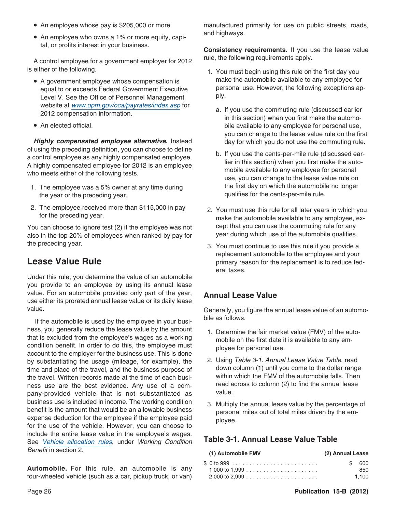- An employee whose pay is \$205,000 or more.
- and highways. An employee who owns a 1% or more equity, capi-

rule, the following requirements apply. A control employee for a government employer for 2012 is either of the following. The following is either of the following.

- A government employee whose compensation is make the automobile available to any employee for Level V. See the Office of Personnel Management website at www.opm.gov/oca/payrates/index.asp for a. If you use the commuting rule (discussed earlier and 2012 compensation information.
- An elected official.

*Highly compensated employee alternative.* Instead day for which you do not use the commuting rule. of using the preceding definition, you can choose to define<br>a control employee as any highly compensated employee.<br>A highly compensated employee for 2012 is an employee<br>who meets either of the following tests.<br>who meets ei

- 1. The employee was a 5% owner at any time during the first day on which the automobile no longer<br>the vear or the preceding year the recording year<br>qualifies for the cents-per-mile rule. the year or the preceding year.
- 2. The employee received more than \$115,000 in pay 2. You must use this rule for all later years in which you for the preceding year.

You can choose to ignore test (2) if the employee was not cept that you can use the commuting rule for any<br>also in the top 20% of employees when ranked by pay for year during which use of the automobile qualifies. also in the top 20% of employees when ranked by pay for the preceding year. The preceding year.  $\frac{3.700}{2.700}$  S. You must continue to use this rule if you provide a

Under this rule, you determine the value of an automobile you provide to an employee by using its annual lease value. For an automobile provided only part of the year, **Annual Lease Value** use either its prorated annual lease value or its daily lease

bile as follows. If the automobile is used by the employee in your business, you generally reduce the lease value by the amount<br>that is excluded from the employee's wages as a working<br>condition benefit. In order to do this, the employee must<br>account to the employer for the business use. This by substantiating the usage (mileage, for example), the 2. Using Table 3-1. Annual Lease Value Table, read<br>time and place of the travel, and the business purpose of down column (1) until you come to the dollar range time and place of the travel, and the business purpose of down column (1) until you come to the dollar range<br>the travel Written records made at the time of each busi-<br>within which the FMV of the automobile falls. Then the travel. Written records made at the time of each business use are the best evidence. Any use of a com-<br>nany-provided vehicle that is not substantiated as value. pany-provided vehicle that is not substantiated as business use is included in income. The working condition<br>benefit is the amount that would be an allowable business<br>expense deduction for the employee if the employee paid<br>for the use of the vehicle. However, you can choos include the entire lease value in the employee's wages. See Vehicle allocation rules, under Working Condition **Table 3-1. Annual Lease Value Table** Benefit in section 2. **(1) Automobile FMV (2) Annual Lease**

Automobile. For this rule, an automobile is any four-wheeled vehicle (such as a car, pickup truck, or van) manufactured primarily for use on public streets, roads,

tal, or profits interest in your business. **Consistency requirements.** If you use the lease value

- equal to or exceeds Federal Government Executive personal use. However, the following exceptions ap-<br>Level V. See the Office of Personnel Management ply.
	- bile available to any employee for personal use, you can change to the lease value rule on the first
	-
	-
- replacement automobile to the employee and your **Lease Value Rule Example 20 CERC 10 primary reason for the replacement is to reduce fed**eral taxes.

value. Generally, you figure the annual lease value of an automo-

- 
- 
- 

| (1) Automobile FMV | (2) Annual Lease |
|--------------------|------------------|
| $$0 to 999$        | \$ 600           |
|                    | 850              |
|                    | 1.100            |
|                    |                  |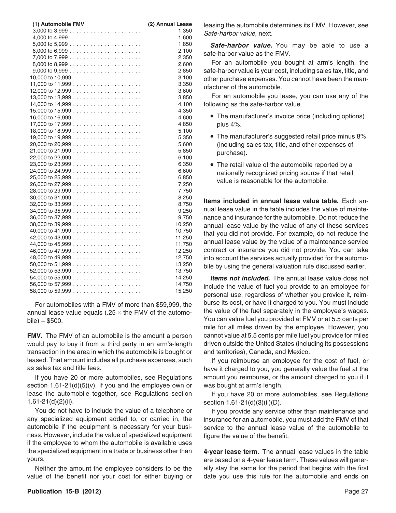| (1) Automobile FMV                                                       | (2) Annual Lease | leasing the auto                 |
|--------------------------------------------------------------------------|------------------|----------------------------------|
|                                                                          | 1,350            | Safe-harbor va                   |
|                                                                          | 1,600            |                                  |
| 5,000 to 5,999 $\ldots \ldots \ldots \ldots \ldots \ldots \ldots$        | 1,850            | Safe-harbo.                      |
| 6,000 to 6,999 $\ldots \ldots \ldots \ldots \ldots \ldots \ldots \ldots$ | 2,100            | safe-harbor val                  |
|                                                                          | 2,350            | For an auto                      |
|                                                                          | 2,600            |                                  |
|                                                                          | 2,850<br>3,100   | safe-harbor val                  |
| 11,000 to 11,999 $\ldots \ldots \ldots \ldots \ldots \ldots \ldots$      | 3,350            | other purchase                   |
|                                                                          | 3,600            | ufacturer of the                 |
|                                                                          | 3,850            | For an autor                     |
|                                                                          | 4,100            | following as the                 |
|                                                                          | 4,350            |                                  |
|                                                                          | 4,600            | The manu                         |
| 17,000 to 17,999 $\ldots \ldots \ldots \ldots \ldots \ldots$             | 4,850            | plus 4%.                         |
|                                                                          | 5,100            |                                  |
|                                                                          | 5,350            | • The manu                       |
|                                                                          | 5,600            | (including                       |
|                                                                          | 5,850            | purchase).                       |
|                                                                          | 6,100            |                                  |
|                                                                          | 6,350            | The retail <b>v</b><br>$\bullet$ |
| 24,000 to 24,999 $\ldots \ldots \ldots \ldots \ldots \ldots$             | 6,600            | nationally                       |
|                                                                          | 6,850            | value is re                      |
|                                                                          | 7,250<br>7,750   |                                  |
|                                                                          | 8,250            |                                  |
|                                                                          | 8,750            | Items include                    |
|                                                                          | 9,250            | nual lease valu                  |
|                                                                          | 9,750            | nance and insu                   |
|                                                                          | 10,250           | annual lease v                   |
|                                                                          | 10,750           | that you did no                  |
| 42,000 to 43,999 $\ldots \ldots \ldots \ldots \ldots \ldots$             | 11,250           |                                  |
|                                                                          | 11,750           | annual lease va                  |
|                                                                          | 12,250           | contract or inst                 |
|                                                                          | 12,750           | into account the                 |
| 50,000 to 51,999 $\ldots \ldots \ldots \ldots \ldots \ldots$             | 13,250           | bile by using th                 |
| 52,000 to 53,999 $\ldots \ldots \ldots \ldots \ldots \ldots$             | 13,750           |                                  |
| 54,000 to 55,999 $\ldots \ldots \ldots \ldots \ldots \ldots$             | 14,250           | Items not in                     |
|                                                                          | 14,750           | include the val                  |
|                                                                          | 15,250           | personal use t                   |

annual lease value equals (.25  $\times$  the FMV of the automo-

would pay to buy it from a third party in an arm's-length driven outside the United States (including its possessions transaction in the area in which the automobile is bought or and territories), Canada, and Mexico. leased. That amount includes all purchase expenses, such If you reimburse an employee for the cost of fuel, or<br>have it charged to you you generally value the fuel at the

section  $1.61-21(d)(5)(v)$ . If you and the employee own or was bought at arm's length. lease the automobile together, see Regulations section If you have 20 or more automobiles, see Regulations 1.61-21(d)(2)(ii). section 1.61-21(d)(3)(ii)(D).

You do not have to include the value of a telephone or If you provide any service other than maintenance and ness. However, include the value of specialized equipment figure the value of the benefit. if the employee to whom the automobile is available uses the specialized equipment in a trade or business other than **4-year lease term.** The annual lease values in the table yours. are based on a 4-year lease term. These values will gener-

value of the benefit nor your cost for either buying or date you use this rule for the automobile and ends on

leasing the automobile determines its FMV. However, see Safe-harbor value, next.

**Safe-harbor value.** You may be able to use a safe-harbor value as the FMV.

For an automobile you bought at arm's length, the safe-harbor value is your cost, including sales tax, title, and other purchase expenses. You cannot have been the man-<br>ufacturer of the automobile.

For an automobile you lease, you can use any of the following as the safe-harbor value.

- The manufacturer's invoice price (including options) plus  $4\%$ .
- The manufacturer's suggested retail price minus 8% (including sales tax, title, and other expenses of
- The retail value of the automobile reported by a nationally recognized pricing source if that retail value is reasonable for the automobile.

**Items included in annual lease value table.** Each annual lease value in the table includes the value of maintenance and insurance for the automobile. Do not reduce the annual lease value by the value of any of these services<br>that you did not provide. For example, do not reduce the<br>annual lease value by the value of a maintenance service contract or insurance you did not provide. You can take into account the services actually provided for the automobile by using the general valuation rule discussed earlier.

**Items not included.** The annual lease value does not include the value of fuel you provide to an employee for personal use, regardless of whether you provide it, reim-For automobiles with a FMV of more than \$59,999, the burse its cost, or have it charged to you. You must include<br>pual lease value equals (25 x the FMV of the automo-<br>the value of the fuel separately in the employee's wage bile) + \$500. You can value fuel you provided at FMV or at 5.5 cents per mile for all miles driven by the employee. However, you **FMV.** The FMV of an automobile is the amount a person cannot value at 5.5 cents per mile fuel you provide for miles

have it charged to you, you generally value the fuel at the If you have 20 or more automobiles, see Regulations amount you reimburse, or the amount charged to you if it

any specialized equipment added to, or carried in, the insurance for an automobile, you must add the FMV of that automobile if the equipment is necessary for your busi-<br>service to the annual lease value of the automobile t service to the annual lease value of the automobile to

Neither the amount the employee considers to be the ally stay the same for the period that begins with the first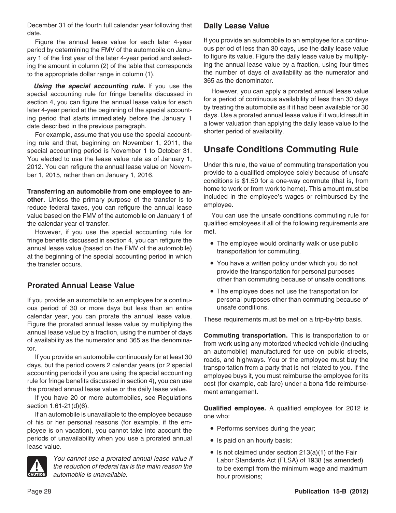December 31 of the fourth full calendar year following that **Daily Lease Value** date.

period by determining the FMV of the automobile on Janu-<br>ary 1 of the first vear of the later 4-year period and select- to figure its value. Figure the daily lease value by multiplyary 1 of the first year of the later 4-year period and select- to figure its value. Figure the daily lease value by multiply-<br>ing the amount in column (2) of the table that corresponds ing the annual lease value by a fract ing the amount in column (2) of the table that corresponds ing the annual lease value by a fraction, using four times<br>the number of days of availability as the numerator and<br>the number of days of availability as the numera to the appropriate dollar range in column (1).

ing rule and that, beginning on November 1, 2011, the special accounting period is November 1 to October 31. **Unsafe Conditions Commuting Rule** You elected to use the lease value rule as of January 1,<br>2012. You can refigure the annual lease value on Novem-<br>ber 1, 2015, rather than on January 1, 2016.<br>2016. The provide to a qualified employee solely because of unsa

value based on the FMV of the automobile on January 1 of You can use the unsafe conditions commuting rule for the calendar year of transfer. qualified employees if all of the following requirements are

However, if you use the special accounting rule for met. fringe benefits discussed in section 4, you can refigure the • The employee would ordinarily walk or use public annual lease value (based on the FMV of the automobile) transportation for commuting.<br>at the beginning of the special accounting period in which • You have a written policy under which you do not the transfer occurs.

### **Prorated Annual Lease Value**

ous period of 30 or more days but less than an entire unsafe conditions. calendar year, you can prorate the annual lease value. These requirements must be met on a trip-by-trip basis. Figure the prorated annual lease value by multiplying the

of his or her personal reasons (for example, if the em ployee is on vacation), you cannot take into account the periods of unavailability when you use a prorated annual lease value.



automobile is unavailable.

Figure the annual lease value for each later 4-year If you provide an automobile to an employee for a continu-<br>Find by determining the FMV of the automobile on Janu- ous period of less than 30 days, use the daily lease val 365 as the denominator.

**Using the special accounting rule.** If you use the<br>special accounting rule for fringe benefits discussed in<br>section 4, you can figure the annual lease value for each<br>later 4-year period at the beginning of the special acc

**Transferring an automobile from one employee to an-** home to work or from work to home). This amount must be **other.** Unless the primary purpose of the transfer is to reduce federal taxes, you can refigure the annual leas

- 
- provide the transportation for personal purposes other than commuting because of unsafe conditions.
- The employee does not use the transportation for If you provide an automobile to an employee for a continu- personal purposes other than commuting because of

annual lease value by a fraction, using the number of days<br>of availability as the numerator and 365 as the denomina-<br>trom work using any motorized wheeled vehicle (including<br>an automobile) manufactured for use on public st

section 1.61-21(d)(6). **Qualified employee.** A qualified employee for 2012 is If an automobile is unavailable to the employee because one who:

- Performs services during the year;
- Is paid on an hourly basis;
- Is not claimed under section 213(a)(1) of the Fair You cannot use a prorated annual lease value if  $L$ abor Standards Act (FLSA) of 1938 (as amended)<br>the reduction of federal tax is the main reason the  $L$  to be exempt from the minimum wage and maximum to be exempt from the minimum wage and maximum hour provisions;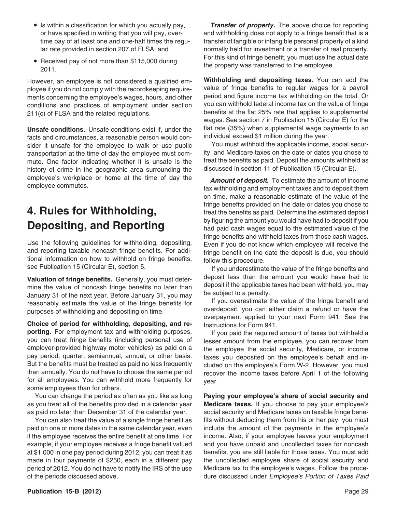- Is within a classification for which you actually pay,
- Received pay of not more than  $\phi$ 115,000 during the property was transferred to the employee.

ployee if you do not comply with the recordkeeping require- value of fringe benefits to regular wages for a payroll ments concerning the employee's wages, hours, and other period and figure income tax withholding on the total. Or conditions and practices of employment under section you can withhold federal income tax on the value of fringe 211(c) of FLSA and the related regulations. benefits at the flat 25% rate that applies to supplemental

facts and circumstances, a reasonable person would con-<br>sider it unsafe for the employee to walk or use public You must withhold the applicable income, social secursider it unsafe for the employee to walk or use public You must withhold the applicable income, social secur-<br>transportation at the time of day the employee must com-<br>ity, and Medicare taxes on the date or dates you chose transportation at the time of day the employee must com-<br>mute. One factor indicating whether it is unsafe is the treat the benefits as paid. Deposit the amounts withheld as mute. One factor indicating whether it is unsafe is the treat the benefits as paid. Deposit the amounts withheld<br>history of crime in the geographic area surrounding the discussed in section 11 of Publication 15 (Circular E history of crime in the geographic area surrounding the employee's workplace or home at the time of day the *Amount of deposit*. To estimate the amount of income employee commutes.

Use the following guidelines for withholding, depositing, Even if you do not know which employee will receive the and reporting taxable noncash fringe benefits. For addi-<br>fringe benefit on the date the deposit is due you s tional information on how to withhold on fringe benefits, follow this procedure.<br>see Publication 15 (Circular E), section 5.

mine the value of noncash fringe benefits no later than deposit if the applicable taxes had been withheld been withheld been using the subject to a penalty. January 31 of the next year. Before January 31, you may be subject to a penalty.<br>
The value of the fringe benefit and<br>
purposes of withholding and depositing on time.<br>
overlayment applied to your next Form 941. See the

**Choice of period for withholding, depositing, and re-** Instructions for Form 941. **porting.** For employment tax and withholding purposes, If you paid the required amount of taxes but withheld a you can treat fringe benefits (including personal use of lesser amount from the employee you can recover from you can treat fringe benefits (including personal use of lesser amount from the employee, you can recover from<br>employer-provided highway motor vehicles) as paid on a let the employee the social security. Medicare, or incom employer-provided highway motor vehicles) as paid on a the employee the social security, Medicare, or income<br>pay period, quarter, semiannual, annual, or other basis. taxes you deposited on the employee's behalf and in-But the benefits must be treated as paid no less frequently cluded on the employee's Form W-2. However, you must<br>than annually. You do not have to choose the same period recover the income taxes before April 1 of the follo for all employees. You can withhold more frequently for year. some employees than for others.

as you treat all of the benefits provided in a calendar year **Medicare taxes.** If you choose to pay your employee's as paid no later than December 31 of the calendar year. social security and Medicare taxes on taxable fringe bene-

paid on one or more dates in the same calendar year, even include the amount of the payments in the employee's if the employee receives the entire benefit at one time. For income. Also, if your employee leaves your employment example, if your employee receives a fringe benefit valued and you have unpaid and uncollected taxes for noncash at \$1,000 in one pay period during 2012, you can treat it as benefits, you are still liable for those taxes. You must add made in four payments of \$250, each in a different pay the uncollected employee share of social security and period of 2012. You do not have to notify the IRS of the use Medicare tax to the employee's wages. Follow the proce-

**Transfer of property.** The above choice for reporting or have specified in writing that you will pay, over- and withholding does not apply to a fringe benefit that is a time pay of at least one and one-half times the regu- transfer of tangible or intangible personal property of a kind lar rate provided in section 207 of FLSA; and normally held for investment or a transfer of real property. ■ For this kind of fringe benefit, you must use the actual date<br>■ Received pay of not more than \$115,000 during

However, an employee is not considered a qualified em- **Withholding and depositing taxes.** You can add the wages. See section 7 in Publication 15 (Circular E) for the **Unsafe conditions.** Unsafe conditions exist if, under the flat rate (35%) when supplemental wage payments to an facts and circumstances a reasonable person would con-<br>individual exceed \$1 million during the year.

tax withholding and employment taxes and to deposit them on time, make a reasonable estimate of the value of the fringe benefits provided on the date or dates you chose to **4. Rules for Withholding,** the the benefits as paid. Determine the estimated deposit<br>by figuring the amount you would have had to deposit if you **Depositing, and Reporting** by figuring the amount you would have had to deposit if you fringe benefits and withheld taxes from those cash wages. fringe benefit on the date the deposit is due, you should

If you underestimate the value of the fringe benefits and **Valuation of fringe benefits.** Generally, you must deter-<br>mine the value of poncash fringe benefits no later than deposit if the applicable taxes had been withheld, you may

taxes you deposited on the employee's behalf and inrecover the income taxes before April 1 of the following

You can change the period as often as you like as long **Paying your employee's share of social security and** You can also treat the value of a single fringe benefit as fits without deducting them from his or her pay, you must of the periods discussed above. dure discussed under Employee's Portion of Taxes Paid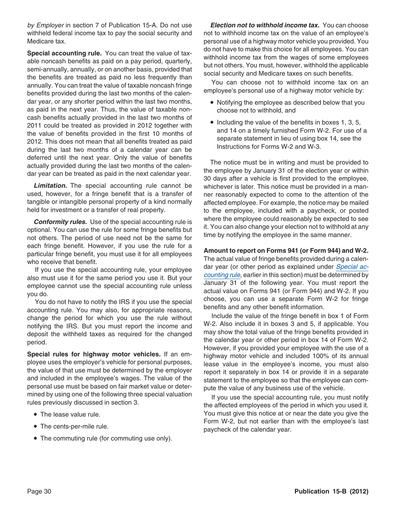by Employer in section 7 of Publication 15-A. Do not use *Election not to withhold income tax.* You can choose withheld federal income tax to pay the social security and not to withhold income tax on the value of an employee's Medicare tax. personal use of a highway motor vehicle you provided. You

Special accounting rule. You can treat the value of tax-<br>able noncash benefits as paid on a pay period, quarterly,<br>semi-annually, annually, or on another basis, provided that<br>the benefits are treated as paid no less freque dar year, or any shorter period within the last two months, •• Notifying the employee as described below that you as paid in the next year. Thus, the value of taxable non- choose not to withhold, and cash benefits actually provided in the last two months of<br>
2011 could be treated as provided in 2012 together with<br>
<sup>1</sup> Including the value of the benefits in boxes 1, 3, 5, 2011 could be treated as provided in 2012 together with the value of the benefits in boxes 1, 3, 5,<br>the value of benefits provided in the first 10 months of and 14 on a timely furnished Form W-2. For use of a<br>2012. This do deferred until the next year. Only the value of benefits<br>actually provided during the last two months of the calen-<br>dar year can be treated as paid in the next calendar year.<br>30 days after a vehicle is first provided to th

used, however, for a fringe benefit that is a transfer of ner reasonably expected to come to the attention of the tangible or intangible personal property of a kind normally affected employee. For example, the notice may be mailed held for investment or a transfer of real property. The employee, included with a paycheck, or posted

each fringe benefit. However, if you use the rule for a<br>particular fringe benefit, you must use it for all employees<br>who receive that benefit.<br>If you use the enceival escounting rule your employees<br>of year (or other period

change the period for which you use the rule without<br>notifying the IRS But you must report the income and W-2. Also include it in boxes 3 and 5, if applicable. You

**Special rules for highway motor vehicles.** If an em-<br>ployee uses the employer's vehicle for personal purposes, lease value in the employee's income, you must also ployee uses the employer's vehicle for personal purposes, lease value in the employee's income, you must also<br>the value of that use must be determined by the employer report it separately in box 14 or provide it in a separ the value of that use must be determined by the employer report it separately in box 14 or provide it in a separate<br>and included in the employee's wages. The value of the retatement to the employee so that the employee can and included in the employee's wages. The value of the statement to the employee so that the employee can com-<br>personal use must be based on fair market value or deter-<br>puto the value of any business use of the vabile personal use must be based on fair market value or deter-<br>mined by using one of the following three special valuation<br>the value of the coordal accounting rule value mu

- The lease value rule.
- 
- The commuting rule (for commuting use only).

- 
- 

*Limitation.* The special accounting rule cannot be whichever is later. This notice must be provided in a man-**Conformity rules.** Use of the special accounting rule is where the employee could reasonably be expected to see<br>optional. You can use the rule for some fringe benefits but<br>not others. The period of use need not be the sam

If you use the special accounting rule, your employee<br>also must use it for the same period you use it. But your<br>employee cannot use the special accounting rule unless<br>you do.<br>You do not have to notify the IRS if you use th

notifying the IRS. But you must report the income and<br>deposit the withheld taxes as required for the changed<br>period.<br>Special rules for highway motor vehicles. If an em-<br>special rules for highway motor vehicles. If an em-<br>h

mined by using one of the following three special valuation If you use the special accounting rule, you must notify rules previously discussed in section 3. You must give this notice at or near the date you give the • The cents-per-mile rule.  $\blacksquare$  The cents-per-mile rule. paycheck of the calendar year.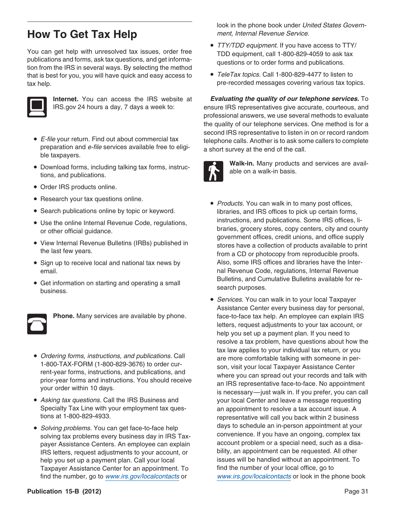## How To Get Tax Help **Manufally Manufally** *ment, Internal Revenue Service.*

You can get help with unresolved tax issues, order free<br>publications and forms, ask tax questions, and get informa-<br>tion from the IRS in several ways. By selecting the method<br>that is best for you. you will have quick and e that is best for you, you will have quick and easy access to tax help. pre-recorded messages covering various tax topics.



- E-file your return. Find out about commercial tax preparation and *e-file* services available free to eligi-<br>ble taxpayers.
- Download forms, including talking tax forms, instructions, and publications.
- Order IRS products online.
- Research your tax questions online.
- Search publications online by topic or keyword.
- 
- View Internal Revenue Bulletins (IRBs) published in
- 
- 



- Ordering forms, instructions, and publications. Call
- Asking tax questions. Call the IRS Business and Specialty Tax Line with your employment tax ques-<br>
specialty Tax Line with your employment tax ques-<br>
representative will call you back within 2 business
- payer Assistance Centers. An employee can explain IRS letters, request adjustments to your account, or bility, an appointment can be requested. All other help you set up a payment plan. Call your local issues will be handled without an appointment. To Taxpayer Assistance Center for an appointment. To find the number of your local office, go to

look in the phone book under United States Govern-

- TTY/TDD equipment. If you have access to TTY/
- 

**Internet.** You can access the IRS website at *Evaluating the quality of our telephone services.* To IRS.gov 24 hours a day, 7 days a week to: ensure IRS representatives give accurate, courteous, and professional answers, we use several methods to evaluate the quality of our telephone services. One method is for a second IRS representative to listen in on or record random telephone calls. Another is to ask some callers to complete



Walk-in. Many products and services are avail-<br>able on a walk-in basis.

- Products. You can walk in to many post offices, libraries, and IRS offices to pick up certain forms, instructions, and publications. Some IRS offices, li- •• Use the online Internal Revenue Code, regulations, and providences, and publications. Some this offices, increased to the or other official guidance.<br>In the procery stores, credit unions, and office supply<br>government off View internal Revenue Bulletins (IRBS) published in stores have a collection of products available to print the last few years.<br>the last few years. from a CD or photocopy from reproducible proofs. • Sign up to receive local and national tax news by **Also**, some IRS offices and libraries have the Interemail. **nal Revenue Code, regulations, Internal Revenue Code**, regulations, Internal Revenue Bulletins, and Cumulative Bulletins available for re- • Get information on starting and operating a small search purposes. business.
- Services. You can walk in to your local Taxpayer Assistance Center every business day for personal, **Phone.** Many services are available by phone. **Face-to-face tax help.** An employee can explain IRS letters, request adjustments to your tax account, or help you set up a payment plan. If you need to resolve a tax problem, have questions about how the tax law applies to your individual tax return, or you • Ordering forms, instructions, and publications. Call 1-800-TAX-FORM (1-800-829-3676) to order current-year forms, instructions, and publications, and<br>
prior-year forms and instructions. You should receive an IRS represen your local Center and leave a message requesting representative will call you back within 2 business • Solving problems. You can get face-to-face help days to schedule an in-person appointment at your Solving tax problems every business day in IRS Tax-<br>naver Assistance Centers. An employee can explain account problem or a special need, such as a disafind the number, go to www.irs.gov/localcontacts or www.irs.gov/localcontacts or look in the phone book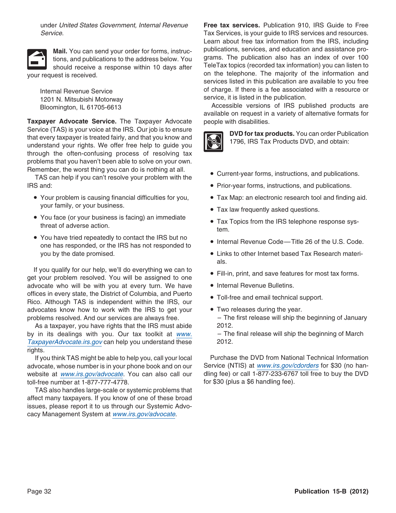

**Taxpayer Advocate Service.** The Taxpayer Advocate people with disabilities. Service (TAS) is your voice at the IRS. Our job is to ensure<br>that every taxpayer is treated fairly, and that you know and<br>understand your rights. We offer free help to guide you<br>and your rights. We offer free help to guide through the often-confusing process of resolving tax problems that you haven't been able to solve on your own. Remember, the worst thing you can do is nothing at all.<br>The sea help if you can't reach a your preblem with the Current-year forms, instructions, and publications.

TAS can help if you can't resolve your problem with the IRS and: • Prior-year forms, instructions, and publications.

- your family, or your business. •
- You face (or your business is facing) an immediate
- You have tried repeatedly to contact the IRS but no  $\bullet$ Internal Revenue Code—Title 26 of the U.S. Code.<br>one has responded, or the IRS has not responded to

If you qualify for our help, we'll do everything we can to  $\bullet$  Fill-in, print, and save features for most tax forms. get your problem resolved. You will be assigned to one advocate who will be with you at every turn. We have • Internal Revenue Bulletins. offices in every state, the District of Columbia, and Puerto • Toll-free and email technical support. Rico. Although TAS is independent within the IRS, our advocates know how to work with the IRS to get your • Two releases during the year. problems resolved. And our services are always free.  $\overline{a}$  - The first release will ship the beginning of January

As a taxpayer, you have rights that the IRS must abide 2012. by in its dealings with you. Our tax toolkit at www. - The final release will ship the beginning of March TaxpayerAdvocate.irs.gov can help you understand these 2012. rights.

advocate, whose number is in your phone book and on our Service (NTIS) at www.irs.gov/cdorders for \$30 (no hanwebsite at www.irs.gov/advocate. You can also call our dling fee) or call 1-877-233-6767 toll free to buy the DVD toll-free number at 1-877-777-4778. for \$30 (plus a \$6 handling fee).

TAS also handles large-scale or systemic problems that affect many taxpayers. If you know of one of these broad issues, please report it to us through our Systemic Advocacy Management System at www.irs.gov/advocate.

under United States Government, Internal Revenue **Free tax services.** Publication 910, IRS Guide to Free Service. Tax Services, is your guide to IRS services and resources. Learn about free tax information from the IRS, including Mail. You can send your order for forms, instruc-<br>publications, services, and education and assistance protions, and publications to the address below. You grams. The publication also has an index of over 100 should receive a response within 10 days after TeleTax topics (recorded tax information) you can listen to should receive a response within 10 days after<br>your request is received.<br>services listed in this publication are available to you free<br>services listed in this publication are available to you free Internal Revenue Service **Exercise 19 and Service** of charge. If there is a fee associated with a resource or service, it is listed in the publication. 1201 N. Mitsubishi Motorway

Bloomington, IL 61705-6613 **Accessible versions of IRS published products** are available on request in a variety of alternative formats for



- 
- 
- Your problem is causing financial difficulties for you, Tax Map: an electronic research tool and finding aid.
	- Tax law frequently asked questions.
	- The Tax Topics from the IRS telephone response sys-<br>threat of adverse action.
		-
	- you by the date promised. Links to other Internet based Tax Research materials.
		-
		-
		-
		-

If you think TAS might be able to help you, call your local Purchase the DVD from National Technical Information